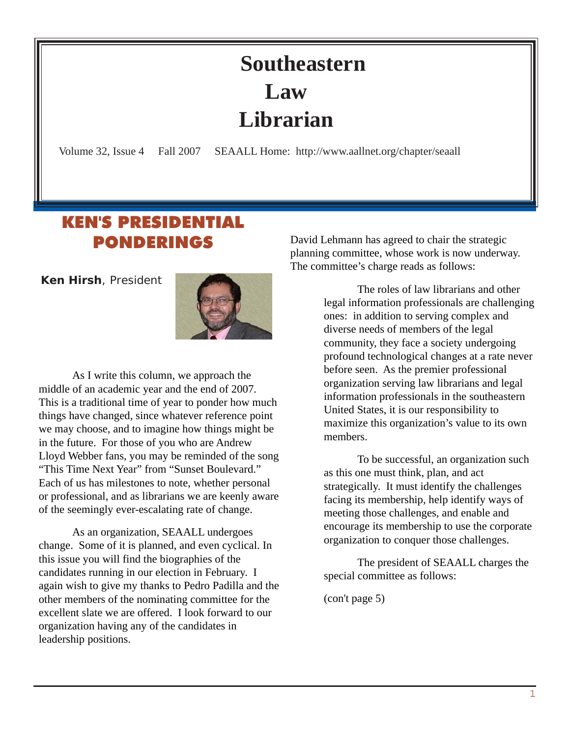## **Southeastern Law Librarian**

<span id="page-0-0"></span>Volume 32, Issue 4 Fall 2007 SEAALL Home: http://www.aallnet.org/chapter/seaall

## KEN'S PRESIDENTIAL PONDERINGS

 **Ken Hirsh**, President



As I write this column, we approach the middle of an academic year and the end of 2007. This is a traditional time of year to ponder how much things have changed, since whatever reference point we may choose, and to imagine how things might be in the future. For those of you who are Andrew Lloyd Webber fans, you may be reminded of the song "This Time Next Year" from "Sunset Boulevard." Each of us has milestones to note, whether personal or professional, and as librarians we are keenly aware of the seemingly ever-escalating rate of change.

As an organization, SEAALL undergoes change. Some of it is planned, and even cyclical. In this issue you will find the biographies of the candidates running in our election in February. I again wish to give my thanks to Pedro Padilla and the other members of the nominating committee for the excellent slate we are offered. I look forward to our organization having any of the candidates in leadership positions.

David Lehmann has agreed to chair the strategic planning committee, whose work is now underway. The committee's charge reads as follows:

> The roles of law librarians and other legal information professionals are challenging ones: in addition to serving complex and diverse needs of members of the legal community, they face a society undergoing profound technological changes at a rate never before seen. As the premier professional organization serving law librarians and legal information professionals in the southeastern United States, it is our responsibility to maximize this organization's value to its own members.

To be successful, an organization such as this one must think, plan, and act strategically. It must identify the challenges facing its membership, help identify ways of meeting those challenges, and enable and encourage its membership to use the corporate organization to conquer those challenges.

The president of SEAALL charges the special committee as follows:

(con't page 5)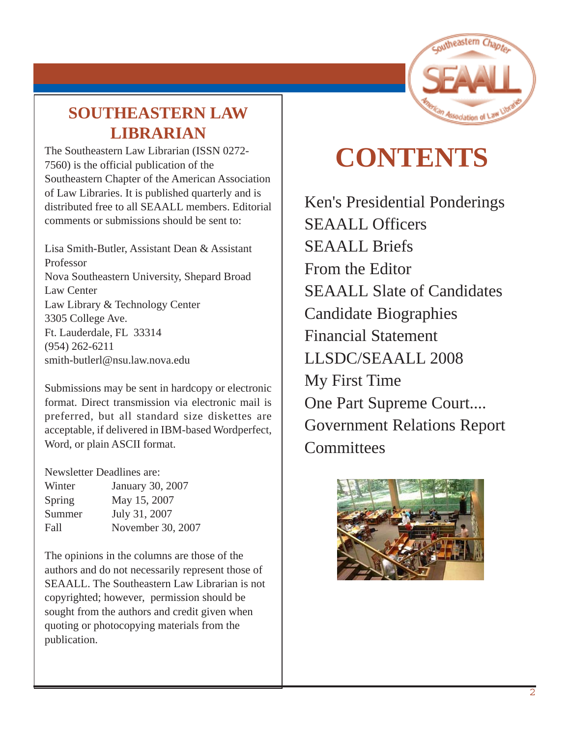

## **SOUTHEASTERN LAW LIBRARIAN**

The Southeastern Law Librarian (ISSN 0272- 7560) is the official publication of the Southeastern Chapter of the American Association of Law Libraries. It is published quarterly and is distributed free to all SEAALL members. Editorial comments or submissions should be sent to:

Lisa Smith-Butler, Assistant Dean & Assistant Professor Nova Southeastern University, Shepard Broad Law Center Law Library & Technology Center 3305 College Ave. Ft. Lauderdale, FL 33314 [\(954\) 262-6211](mailto:melamut@email.unc.edu) [smith-butlerl@nsu.law.nova.edu](mailto:melamut@email.unc.edu)

Submissions may be sent in hardcopy or electronic format. Direct transmission via electronic mail is preferred, but all standard size diskettes are acceptable, if delivered in IBM-based Wordperfect, Word, or plain ASCII format.

Newsletter Deadlines are:

| Winter | January 30, 2007  |
|--------|-------------------|
| Spring | May 15, 2007      |
| Summer | July 31, 2007     |
| Fall   | November 30, 2007 |
|        |                   |

The opinions in the columns are those of the authors and do not necessarily represent those of SEAALL. The Southeastern Law Librarian is not copyrighted; however, permission should be sought from the authors and credit given when quoting or photocopying materials from the publication.

## **CONTENTS**

[Ken's Presidential Ponderings](#page-0-0) SEAALL Officers SEAALL Briefs From the Editor SEAALL Slate of Candidates Candidate Biographies Financial Statement LLSDC/SEAALL 2008 My First Time One Part Supreme Court.... Government Relations Report **Committees** 

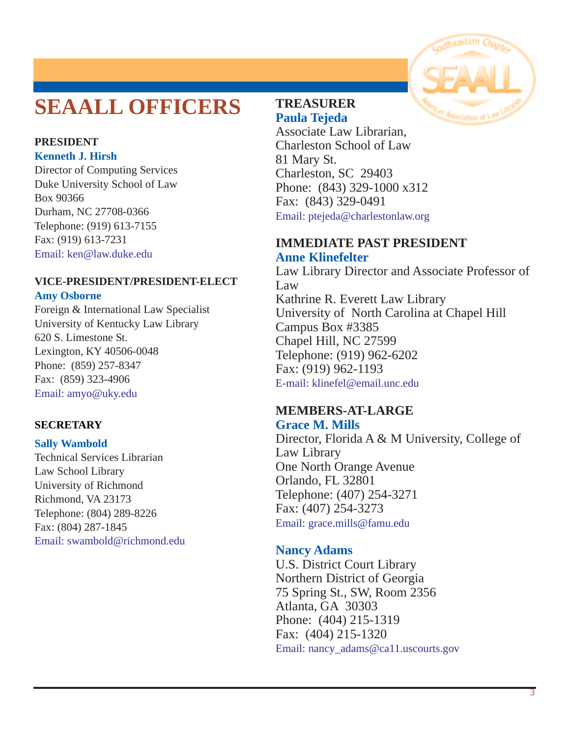## **SEAALL OFFICERS**

#### **PRESIDENT Kenneth J. Hirsh**

Director of Computing Services Duke University School of Law Box 90366 Durham, NC 27708-0366 Telephone: (919) 613-7155 Fax: (919) 613-7231 Email: [ken@law.duke.edu](mailto:ken@law.duke.edu)

#### **VICE-PRESIDENT/PRESIDENT-ELECT Amy Osborne**

Foreign & International Law Specialist University of Kentucky Law Library 620 S. Limestone St. Lexington, KY 40506-0048 Phone: (859) 257-8347 Fax: (859) 323-4906 [Email: amyo@uky.edu](mailto:swambold@richmond.edu)

#### **SECRETARY**

#### **Sally Wambold**

Technical Services Librarian Law School Library University of Richmond Richmond, VA 23173 Telephone: (804) 289-8226 Fax: (804) 287-1845 [Email: swambold@richmond.edu](mailto:swambold@richmond.edu)

#### **TREASURER Paula Tejeda**

Associate Law Librarian, Charleston School of Law 81 Mary St. Charleston, SC 29403 Phone: (843) 329-1000 x312 Fax: (843) 329-0491 [Email: ptejeda@charlestonlaw.org](mailto:bissettj@wlu.edu)

#### **IMMEDIATE PAST PRESIDENT Anne Klinefelter**

Law Library Director and Associate Professor of Law Kathrine R. Everett Law Library University of North Carolina at Chapel Hill Campus Box #3385 Chapel Hill, NC 27599 Telephone: (919) 962-6202 Fax: (919) 962-1193 [E-mail: klinefel@email.unc.edu](mailto:klinefel@email.unc.edu)

#### **MEMBERS-AT-LARGE Grace M. Mills**

Director, Florida A & M University, College of Law Library One North Orange Avenue Orlando, FL 32801 Telephone: (407) 254-3271 Fax: (407) 254-3273 Email: [grace.mills@famu.edu](mailto:grace.mills@famu.edu)

#### **Nancy Adams**

U.S. District Court Library Northern District of Georgia 75 Spring St., SW, Room 2356 Atlanta, GA 30303 Phone: (404) 215-1319 Fax: (404) 215-1320 [Email:](mailto:vsmith@wcsr.com) nancy\_adams@ca11.uscourts.gov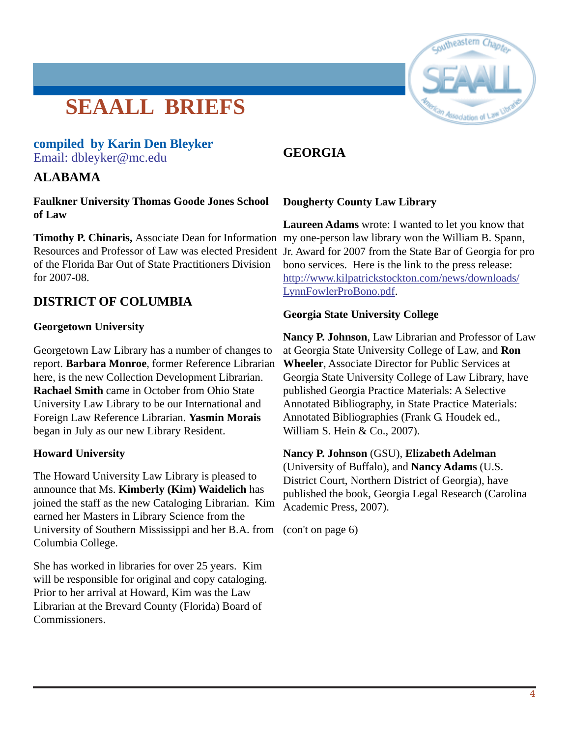## **SEAALL BRIEFS**

#### **compiled by Karin Den Bleyker** [Email: dbleyker@mc.edu](mailto:dbleyker@mc.edu)

#### **ALABAMA**

**Faulkner University Thomas Goode Jones School of Law**

**Timothy P. Chinaris,** Associate Dean for Information my one-person law library won the William B. Spann, of the Florida Bar Out of State Practitioners Division for 2007-08.

#### **DISTRICT OF COLUMBIA**

#### **Georgetown University**

Georgetown Law Library has a number of changes to report. **Barbara Monroe**, former Reference Librarian here, is the new Collection Development Librarian. **Rachael Smith** came in October from Ohio State University Law Library to be our International and Foreign Law Reference Librarian. **Yasmin Morais** began in July as our new Library Resident.

#### **Howard University**

The Howard University Law Library is pleased to announce that Ms. **Kimberly (Kim) Waidelich** has joined the staff as the new Cataloging Librarian. Kim earned her Masters in Library Science from the University of Southern Mississippi and her B.A. from (con't on page 6)Columbia College.

She has worked in libraries for over 25 years. Kim will be responsible for original and copy cataloging. Prior to her arrival at Howard, Kim was the Law Librarian at the Brevard County (Florida) Board of Commissioners.

#### **GEORGIA**

#### **Dougherty County Law Library**

Resources and Professor of Law was elected President Jr. Award for 2007 from the State Bar of Georgia for pro **Laureen Adams** wrote: I wanted to let you know that bono services. Here is the link to the press release: http://www.kilpatrickstockton.com/news/downloads/ LynnFowlerProBono.pdf.

#### **Georgia State University College**

**Nancy P. Johnson**, Law Librarian and Professor of Law at Georgia State University College of Law, and **Ron Wheeler**, Associate Director for Public Services at Georgia State University College of Law Library, have published Georgia Practice Materials: A Selective Annotated Bibliography, in State Practice Materials: Annotated Bibliographies (Frank G. Houdek ed., William S. Hein & Co., 2007).

#### **Nancy P. Johnson** (GSU), **Elizabeth Adelman**

(University of Buffalo), and **Nancy Adams** (U.S. District Court, Northern District of Georgia), have published the book, Georgia Legal Research (Carolina Academic Press, 2007).

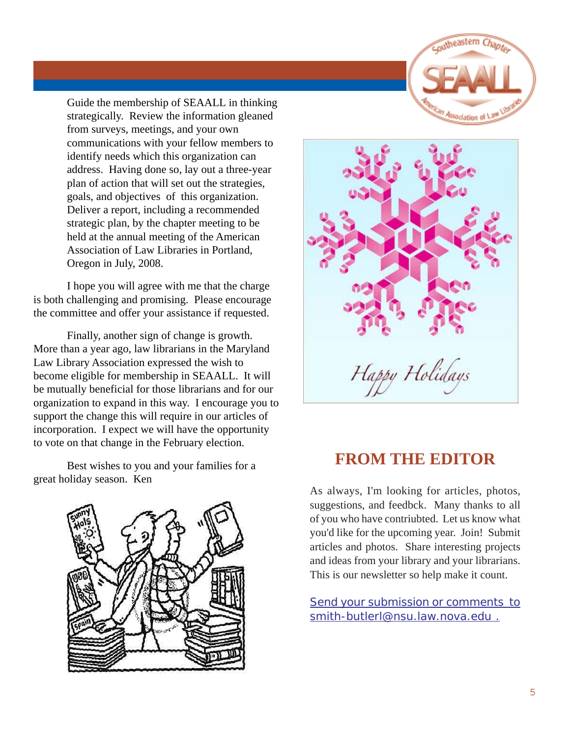

Guide the membership of SEAALL in thinking strategically. Review the information gleaned from surveys, meetings, and your own communications with your fellow members to identify needs which this organization can address. Having done so, lay out a three-year plan of action that will set out the strategies, goals, and objectives of this organization. Deliver a report, including a recommended strategic plan, by the chapter meeting to be held at the annual meeting of the American Association of Law Libraries in Portland, Oregon in July, 2008.

I hope you will agree with me that the charge is both challenging and promising. Please encourage the committee and offer your assistance if requested.

Finally, another sign of change is growth. More than a year ago, law librarians in the Maryland Law Library Association expressed the wish to become eligible for membership in SEAALL. It will be mutually beneficial for those librarians and for our organization to expand in this way. I encourage you to support the change this will require in our articles of incorporation. I expect we will have the opportunity to vote on that change in the February election.

Best wishes to you and your families for a great holiday season. Ken





### **FROM THE EDITOR**

As always, I'm looking for articles, photos, suggestions, and feedbck. Many thanks to all of you who have contriubted. Let us know what you'd like for the upcoming year. Join! Submit articles and photos. Share interesting projects and ideas from your library and your librarians. This is our newsletter so help make it count.

Send your submission or comments to smith-butlerl@nsu.law.nova.edu .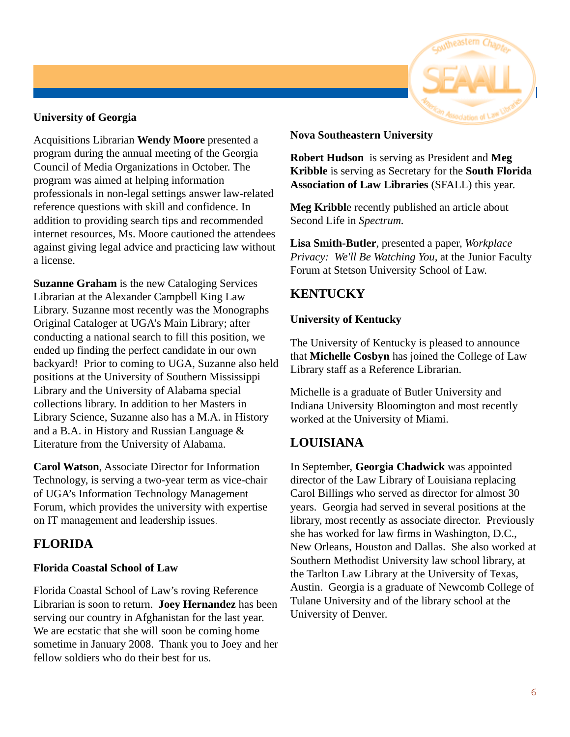#### **University of Georgia**

Acquisitions Librarian **Wendy Moore** presented a program during the annual meeting of the Georgia Council of Media Organizations in October. The program was aimed at helping information professionals in non-legal settings answer law-related reference questions with skill and confidence. In addition to providing search tips and recommended internet resources, Ms. Moore cautioned the attendees against giving legal advice and practicing law without a license.

**Suzanne Graham** is the new Cataloging Services Librarian at the Alexander Campbell King Law Library. Suzanne most recently was the Monographs Original Cataloger at UGA's Main Library; after conducting a national search to fill this position, we ended up finding the perfect candidate in our own backyard! Prior to coming to UGA, Suzanne also held positions at the University of Southern Mississippi Library and the University of Alabama special collections library. In addition to her Masters in Library Science, Suzanne also has a M.A. in History and a B.A. in History and Russian Language & Literature from the University of Alabama.

**Carol Watson**, Associate Director for Information Technology, is serving a two-year term as vice-chair of UGA's Information Technology Management Forum, which provides the university with expertise on IT management and leadership issues.

### **FLORIDA**

#### **Florida Coastal School of Law**

Florida Coastal School of Law's roving Reference Librarian is soon to return. **Joey Hernandez** has been serving our country in Afghanistan for the last year. We are ecstatic that she will soon be coming home sometime in January 2008. Thank you to Joey and her fellow soldiers who do their best for us.

#### **Nova Southeastern University**

**Robert Hudson** is serving as President and **Meg Kribble** is serving as Secretary for the **South Florida Association of Law Libraries** (SFALL) this year.

**Meg Kribbl**e recently published an article about Second Life in *Spectrum.*

**Lisa Smith-Butler**, presented a paper, *Workplace Privacy: We'll Be Watching You,* at the Junior Faculty Forum at Stetson University School of Law.

#### **KENTUCKY**

#### **University of Kentucky**

The University of Kentucky is pleased to announce that **Michelle Cosbyn** has joined the College of Law Library staff as a Reference Librarian.

Michelle is a graduate of Butler University and Indiana University Bloomington and most recently worked at the University of Miami.

#### **LOUISIANA**

In September, **Georgia Chadwick** was appointed director of the Law Library of Louisiana replacing Carol Billings who served as director for almost 30 years. Georgia had served in several positions at the library, most recently as associate director. Previously she has worked for law firms in Washington, D.C., New Orleans, Houston and Dallas. She also worked at Southern Methodist University law school library, at the Tarlton Law Library at the University of Texas, Austin. Georgia is a graduate of Newcomb College of Tulane University and of the library school at the University of Denver.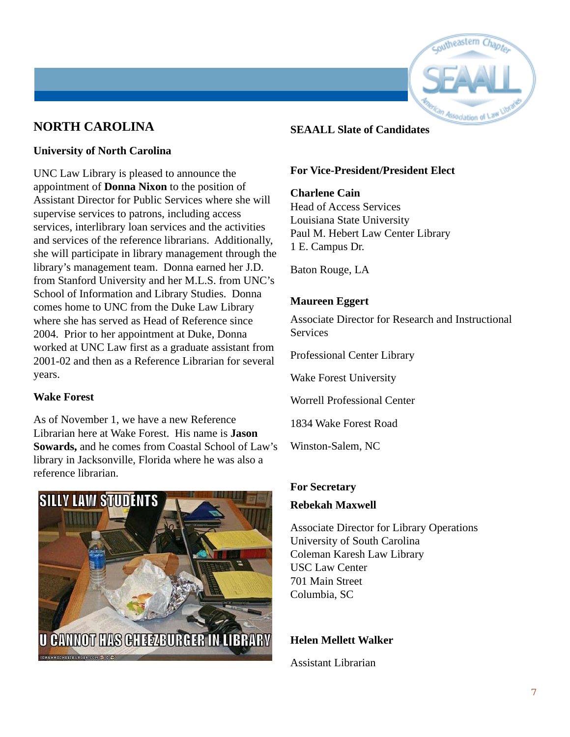

#### **NORTH CAROLINA**

#### **University of North Carolina**

UNC Law Library is pleased to announce the appointment of **Donna Nixon** to the position of Assistant Director for Public Services where she will supervise services to patrons, including access services, interlibrary loan services and the activities and services of the reference librarians. Additionally, she will participate in library management through the library's management team. Donna earned her J.D. from Stanford University and her M.L.S. from UNC's School of Information and Library Studies. Donna comes home to UNC from the Duke Law Library where she has served as Head of Reference since 2004. Prior to her appointment at Duke, Donna worked at UNC Law first as a graduate assistant from 2001-02 and then as a Reference Librarian for several years.

#### **Wake Forest**

As of November 1, we have a new Reference Librarian here at Wake Forest. His name is **Jason Sowards,** and he comes from Coastal School of Law's library in Jacksonville, Florida where he was also a reference librarian.



#### **SEAALL Slate of Candidates**

#### **For Vice-President/President Elect**

#### **Charlene Cain**

Head of Access Services Louisiana State University Paul M. Hebert Law Center Library 1 E. Campus Dr.

Baton Rouge, LA

#### **Maureen Eggert**

Associate Director for Research and Instructional **Services** 

Professional Center Library

Wake Forest University

Worrell Professional Center

1834 Wake Forest Road

Winston-Salem, NC

#### **For Secretary**

#### **Rebekah Maxwell**

Associate Director for Library Operations University of South Carolina Coleman Karesh Law Library USC Law Center 701 Main Street Columbia, SC

#### **Helen Mellett Walker**

Assistant Librarian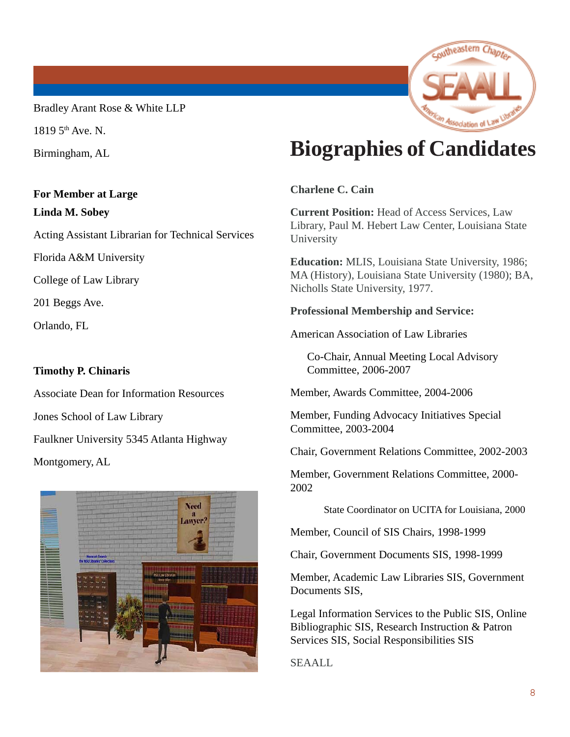Bradley Arant Rose & White LLP

 $18195$ <sup>th</sup> Ave. N.

Birmingham, AL

#### **For Member at Large Linda M. Sobey**

Acting Assistant Librarian for Technical Services

Florida A&M University

College of Law Library

201 Beggs Ave.

Orlando, FL

#### **Timothy P. Chinaris**

Associate Dean for Information Resources Jones School of Law Library Faulkner University 5345 Atlanta Highway Montgomery, AL



## **Biographies of Candidates**

coutheastern Chapte

Association of \

**Charlene C. Cain**

**Current Position:** Head of Access Services, Law Library, Paul M. Hebert Law Center, Louisiana State University

**Education:** MLIS, Louisiana State University, 1986; MA (History), Louisiana State University (1980); BA, Nicholls State University, 1977.

#### **Professional Membership and Service:**

American Association of Law Libraries

Co-Chair, Annual Meeting Local Advisory Committee, 2006-2007

Member, Awards Committee, 2004-2006

Member, Funding Advocacy Initiatives Special Committee, 2003-2004

Chair, Government Relations Committee, 2002-2003

Member, Government Relations Committee, 2000- 2002

State Coordinator on UCITA for Louisiana, 2000

Member, Council of SIS Chairs, 1998-1999

Chair, Government Documents SIS, 1998-1999

Member, Academic Law Libraries SIS, Government Documents SIS,

Legal Information Services to the Public SIS, Online Bibliographic SIS, Research Instruction & Patron Services SIS, Social Responsibilities SIS

SEAALL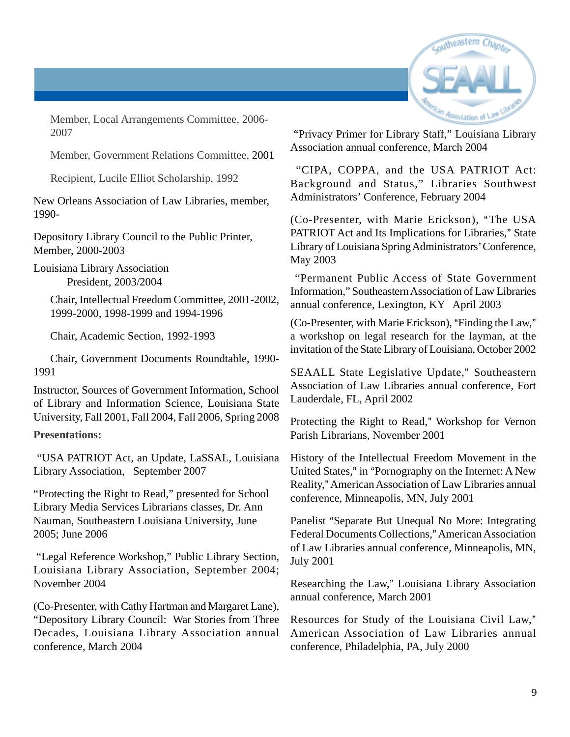

Member, Local Arrangements Committee, 2006- 2007

Member, Government Relations Committee, 2001

Recipient, Lucile Elliot Scholarship, 1992

New Orleans Association of Law Libraries, member, 1990-

Depository Library Council to the Public Printer, Member, 2000-2003

Louisiana Library Association President, 2003/2004

> Chair, Intellectual Freedom Committee, 2001-2002, 1999-2000, 1998-1999 and 1994-1996

Chair, Academic Section, 1992-1993

Chair, Government Documents Roundtable, 1990- 1991

Instructor, Sources of Government Information, School of Library and Information Science, Louisiana State University, Fall 2001, Fall 2004, Fall 2006, Spring 2008

#### **Presentations:**

 "USA PATRIOT Act, an Update, LaSSAL, Louisiana Library Association, September 2007

"Protecting the Right to Read," presented for School Library Media Services Librarians classes, Dr. Ann Nauman, Southeastern Louisiana University, June 2005; June 2006

 "Legal Reference Workshop," Public Library Section, Louisiana Library Association, September 2004; November 2004

(Co-Presenter, with Cathy Hartman and Margaret Lane), "Depository Library Council: War Stories from Three Decades, Louisiana Library Association annual conference, March 2004

 "Privacy Primer for Library Staff," Louisiana Library Association annual conference, March 2004

 "CIPA, COPPA, and the USA PATRIOT Act: Background and Status," Libraries Southwest Administrators' Conference, February 2004

(Co-Presenter, with Marie Erickson), "The USA PATRIOT Act and Its Implications for Libraries," State Library of Louisiana Spring Administrators' Conference, May 2003

 "Permanent Public Access of State Government Information," Southeastern Association of Law Libraries annual conference, Lexington, KY April 2003

 $(Co-Presenter, with Marie Erickson)$ , "Finding the Law," a workshop on legal research for the layman, at the invitation of the State Library of Louisiana, October 2002

SEAALL State Legislative Update," Southeastern Association of Law Libraries annual conference, Fort Lauderdale, FL, April 2002

Protecting the Right to Read," Workshop for Vernon Parish Librarians, November 2001

History of the Intellectual Freedom Movement in the United States," in "Pornography on the Internet: A New Reality," American Association of Law Libraries annual conference, Minneapolis, MN, July 2001

Panelist "Separate But Unequal No More: Integrating Federal Documents Collections," American Association of Law Libraries annual conference, Minneapolis, MN, July 2001

Researching the Law," Louisiana Library Association annual conference, March 2001

Resources for Study of the Louisiana Civil Law," American Association of Law Libraries annual conference, Philadelphia, PA, July 2000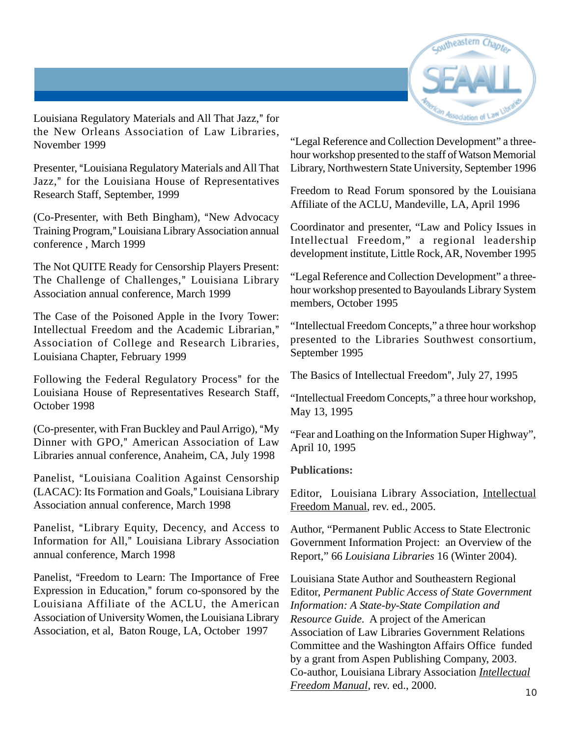

Louisiana Regulatory Materials and All That Jazz," for the New Orleans Association of Law Libraries, November 1999

Presenter, "Louisiana Regulatory Materials and All That Jazz," for the Louisiana House of Representatives Research Staff, September, 1999

 $(Co-Presenter, with Beth Bingham), "New Advocacy"$ Training Program," Louisiana Library Association annual conference , March 1999

The Not QUITE Ready for Censorship Players Present: The Challenge of Challenges," Louisiana Library Association annual conference, March 1999

The Case of the Poisoned Apple in the Ivory Tower: Intellectual Freedom and the Academic Librarian." Association of College and Research Libraries, Louisiana Chapter, February 1999

Following the Federal Regulatory Process" for the Louisiana House of Representatives Research Staff, October 1998

(Co-presenter, with Fran Buckley and Paul Arrigo), "My Dinner with GPO," American Association of Law Libraries annual conference, Anaheim, CA, July 1998

Panelist, "Louisiana Coalition Against Censorship (LACAC): Its Formation and Goals," Louisiana Library Association annual conference, March 1998

Panelist, "Library Equity, Decency, and Access to Information for All," Louisiana Library Association annual conference, March 1998

Panelist, "Freedom to Learn: The Importance of Free Expression in Education," forum co-sponsored by the Louisiana Affiliate of the ACLU, the American Association of University Women, the Louisiana Library Association, et al, Baton Rouge, LA, October 1997

"Legal Reference and Collection Development" a threehour workshop presented to the staff of Watson Memorial Library, Northwestern State University, September 1996

Freedom to Read Forum sponsored by the Louisiana Affiliate of the ACLU, Mandeville, LA, April 1996

Coordinator and presenter, "Law and Policy Issues in Intellectual Freedom," a regional leadership development institute, Little Rock, AR, November 1995

"Legal Reference and Collection Development" a threehour workshop presented to Bayoulands Library System members, October 1995

"Intellectual Freedom Concepts," a three hour workshop presented to the Libraries Southwest consortium, September 1995

The Basics of Intellectual Freedom", July 27, 1995

"Intellectual Freedom Concepts," a three hour workshop, May 13, 1995

"Fear and Loathing on the Information Super Highway", April 10, 1995

#### **Publications:**

Editor, Louisiana Library Association, Intellectual Freedom Manual, rev. ed., 2005.

Author, "Permanent Public Access to State Electronic Government Information Project: an Overview of the Report," 66 *Louisiana Libraries* 16 (Winter 2004).

Louisiana State Author and Southeastern Regional Editor, *Permanent Public Access of State Government Information: A State-by-State Compilation and Resource Guide*. A project of the American Association of Law Libraries Government Relations Committee and the Washington Affairs Office funded by a grant from Aspen Publishing Company, 2003. Co-author, Louisiana Library Association *Intellectual Freedom Manual*, rev. ed., 2000.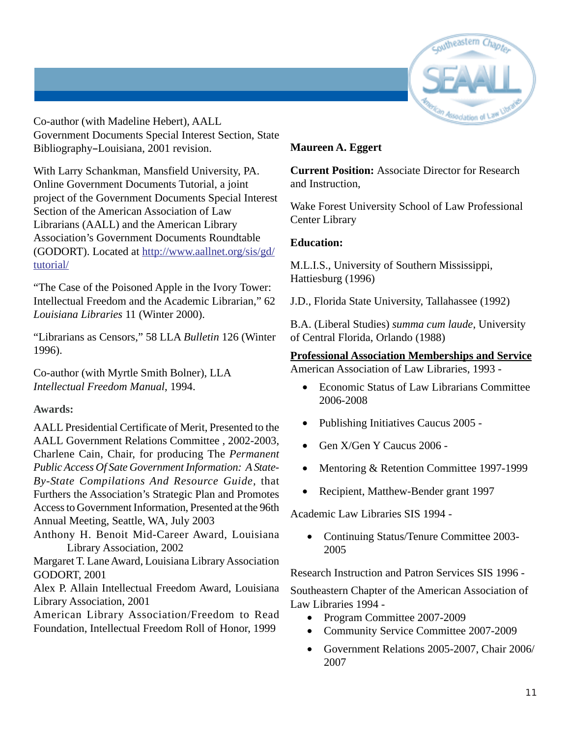

Co-author (with Madeline Hebert), AALL Government Documents Special Interest Section, State Bibliography-Louisiana, 2001 revision.

With Larry Schankman, Mansfield University, PA. Online Government Documents Tutorial, a joint project of the Government Documents Special Interest Section of the American Association of Law Librarians (AALL) and the American Library Association's Government Documents Roundtable (GODORT). Located at http://www.aallnet.org/sis/gd/ tutorial/

"The Case of the Poisoned Apple in the Ivory Tower: Intellectual Freedom and the Academic Librarian," 62 *Louisiana Libraries* 11 (Winter 2000).

"Librarians as Censors," 58 LLA *Bulletin* 126 (Winter 1996).

Co-author (with Myrtle Smith Bolner), LLA *Intellectual Freedom Manual*, 1994.

#### **Awards:**

AALL Presidential Certificate of Merit, Presented to the AALL Government Relations Committee , 2002-2003, Charlene Cain, Chair, for producing The *Permanent Public Access Of Sate Government Information: A State-By-State Compilations And Resource Guide*, that Furthers the Association's Strategic Plan and Promotes Access to Government Information, Presented at the 96th Annual Meeting, Seattle, WA, July 2003

Anthony H. Benoit Mid-Career Award, Louisiana Library Association, 2002

Margaret T. Lane Award, Louisiana Library Association GODORT, 2001

Alex P. Allain Intellectual Freedom Award, Louisiana Library Association, 2001

American Library Association/Freedom to Read Foundation, Intellectual Freedom Roll of Honor, 1999

#### **Maureen A. Eggert**

**Current Position:** Associate Director for Research and Instruction,

Wake Forest University School of Law Professional Center Library

#### **Education:**

M.L.I.S., University of Southern Mississippi, Hattiesburg (1996)

J.D., Florida State University, Tallahassee (1992)

B.A. (Liberal Studies) *summa cum laude*, University of Central Florida, Orlando (1988)

#### **Professional Association Memberships and Service**

American Association of Law Libraries, 1993 -

- Economic Status of Law Librarians Committee 2006-2008
- Publishing Initiatives Caucus 2005 -
- Gen X/Gen Y Caucus 2006 -
- Mentoring & Retention Committee 1997-1999
- Recipient, Matthew-Bender grant 1997

Academic Law Libraries SIS 1994 -

• Continuing Status/Tenure Committee 2003- 2005

Research Instruction and Patron Services SIS 1996 -

Southeastern Chapter of the American Association of Law Libraries 1994 -

- Program Committee 2007-2009
- Community Service Committee 2007-2009
- Government Relations 2005-2007, Chair 2006/ 2007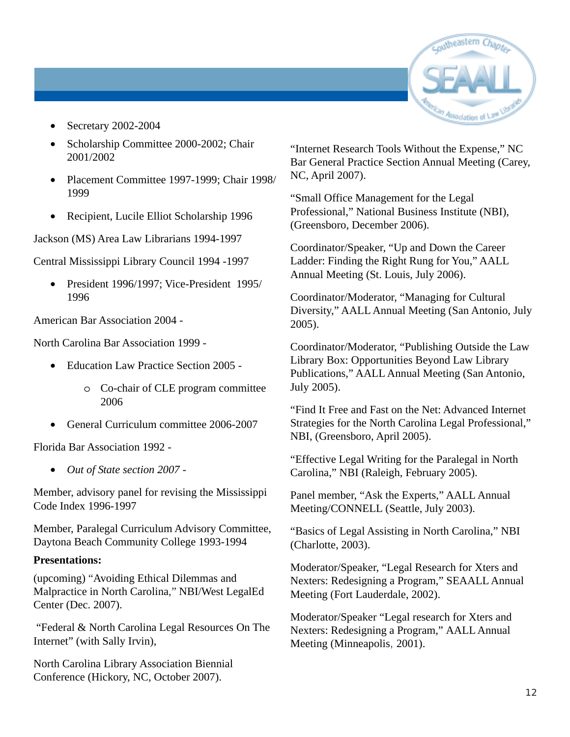

- Secretary 2002-2004
- Scholarship Committee 2000-2002; Chair 2001/2002
- Placement Committee 1997-1999; Chair 1998/ 1999
- Recipient, Lucile Elliot Scholarship 1996

Jackson (MS) Area Law Librarians 1994-1997

Central Mississippi Library Council 1994 -1997

• President 1996/1997; Vice-President 1995/ 1996

American Bar Association 2004 -

North Carolina Bar Association 1999 -

- Education Law Practice Section 2005
	- o Co-chair of CLE program committee 2006
- General Curriculum committee 2006-2007

Florida Bar Association 1992 -

• *Out of State section 2007 -*

Member, advisory panel for revising the Mississippi Code Index 1996-1997

Member, Paralegal Curriculum Advisory Committee, Daytona Beach Community College 1993-1994

#### **Presentations:**

(upcoming) "Avoiding Ethical Dilemmas and Malpractice in North Carolina," NBI/West LegalEd Center (Dec. 2007).

 "Federal & North Carolina Legal Resources On The Internet" (with Sally Irvin),

North Carolina Library Association Biennial Conference (Hickory, NC, October 2007).

"Internet Research Tools Without the Expense," NC Bar General Practice Section Annual Meeting (Carey, NC, April 2007).

"Small Office Management for the Legal Professional," National Business Institute (NBI), (Greensboro, December 2006).

Coordinator/Speaker, "Up and Down the Career Ladder: Finding the Right Rung for You," AALL Annual Meeting (St. Louis, July 2006).

Coordinator/Moderator, "Managing for Cultural Diversity," AALL Annual Meeting (San Antonio, July 2005).

Coordinator/Moderator, "Publishing Outside the Law Library Box: Opportunities Beyond Law Library Publications," AALL Annual Meeting (San Antonio, July 2005).

"Find It Free and Fast on the Net: Advanced Internet Strategies for the North Carolina Legal Professional," NBI, (Greensboro, April 2005).

"Effective Legal Writing for the Paralegal in North Carolina," NBI (Raleigh, February 2005).

Panel member, "Ask the Experts," AALL Annual Meeting/CONNELL (Seattle, July 2003).

"Basics of Legal Assisting in North Carolina," NBI (Charlotte, 2003).

Moderator/Speaker, "Legal Research for Xters and Nexters: Redesigning a Program," SEAALL Annual Meeting (Fort Lauderdale, 2002).

Moderator/Speaker "Legal research for Xters and Nexters: Redesigning a Program," AALL Annual Meeting (Minneapolis, 2001).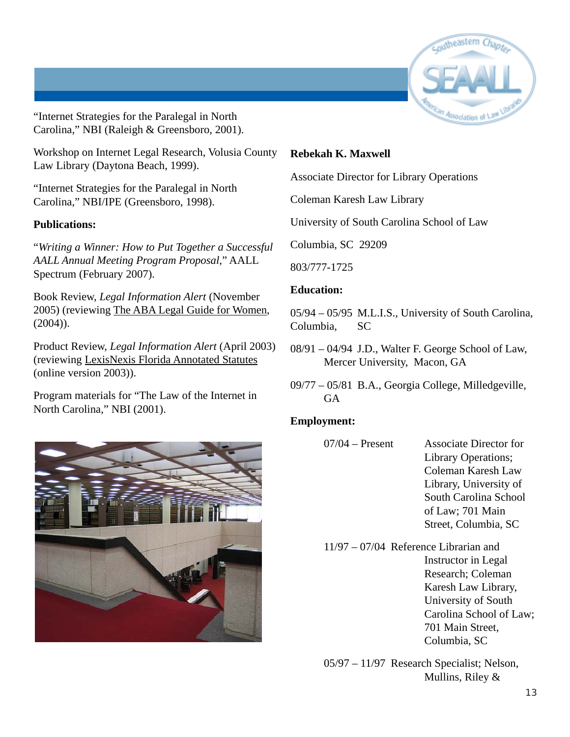

"Internet Strategies for the Paralegal in North Carolina," NBI (Raleigh & Greensboro, 2001).

Workshop on Internet Legal Research, Volusia County Law Library (Daytona Beach, 1999).

"Internet Strategies for the Paralegal in North Carolina," NBI/IPE (Greensboro, 1998).

#### **Publications:**

"*Writing a Winner: How to Put Together a Successful AALL Annual Meeting Program Proposal*," AALL Spectrum (February 2007).

Book Review, *Legal Information Alert* (November 2005) (reviewing The ABA Legal Guide for Women,  $(2004)$ ).

Product Review, *Legal Information Alert* (April 2003) (reviewing LexisNexis Florida Annotated Statutes (online version 2003)).

Program materials for "The Law of the Internet in North Carolina," NBI (2001).



#### **Rebekah K. Maxwell**

Associate Director for Library Operations

Coleman Karesh Law Library

University of South Carolina School of Law

Columbia, SC 29209

803/777-1725

#### **Education:**

05/94 – 05/95 M.L.I.S., University of South Carolina, Columbia, SC

- 08/91 04/94 J.D., Walter F. George School of Law, Mercer University, Macon, GA
- 09/77 05/81 B.A., Georgia College, Milledgeville, **GA**

#### **Employment:**

- 07/04 Present Associate Director for Library Operations; Coleman Karesh Law Library, University of South Carolina School of Law; 701 Main Street, Columbia, SC
- 11/97 07/04 Reference Librarian and Instructor in Legal Research; Coleman Karesh Law Library, University of South Carolina School of Law; 701 Main Street, Columbia, SC

05/97 – 11/97 Research Specialist; Nelson, Mullins, Riley &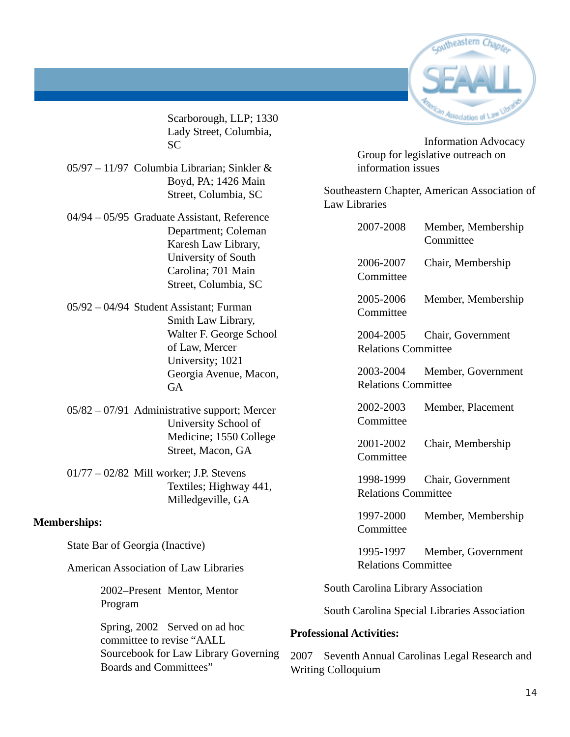

Scarborough, LLP; 1330 Lady Street, Columbia, SC

- 05/97 11/97 Columbia Librarian; Sinkler & Boyd, PA; 1426 Main Street, Columbia, SC
- 04/94 05/95 Graduate Assistant, Reference Department; Coleman Karesh Law Library, University of South Carolina; 701 Main Street, Columbia, SC
- 05/92 04/94 Student Assistant; Furman Smith Law Library, Walter F. George School of Law, Mercer University; 1021 Georgia Avenue, Macon, **GA**
- 05/82 07/91 Administrative support; Mercer University School of Medicine; 1550 College Street, Macon, GA
- 01/77 02/82 Mill worker; J.P. Stevens Textiles; Highway 441, Milledgeville, GA

#### **Memberships:**

State Bar of Georgia (Inactive)

American Association of Law Libraries

2002–Present Mentor, Mentor Program

Spring, 2002 Served on ad hoc committee to revise "AALL Sourcebook for Law Library Governing Boards and Committees"

Information Advocacy Group for legislative outreach on information issues

Southeastern Chapter, American Association of Law Libraries

|                                              | 2007-2008                               | Member, Membership<br>Committee |  |
|----------------------------------------------|-----------------------------------------|---------------------------------|--|
|                                              | 2006-2007<br>Committee                  | Chair, Membership               |  |
|                                              | 2005-2006<br>Committee                  | Member, Membership              |  |
|                                              | 2004-2005<br><b>Relations Committee</b> | Chair, Government               |  |
|                                              | 2003-2004<br><b>Relations Committee</b> | Member, Government              |  |
|                                              | 2002-2003<br>Committee                  | Member, Placement               |  |
|                                              | 2001-2002<br>Committee                  | Chair, Membership               |  |
|                                              | 1998-1999<br><b>Relations Committee</b> | Chair, Government               |  |
|                                              | 1997-2000<br>Committee                  | Member, Membership              |  |
|                                              | 1995-1997<br><b>Relations Committee</b> | Member, Government              |  |
| <b>South Carolina Library Association</b>    |                                         |                                 |  |
| South Carolina Special Libraries Association |                                         |                                 |  |

#### **Professional Activities:**

2007 Seventh Annual Carolinas Legal Research and Writing Colloquium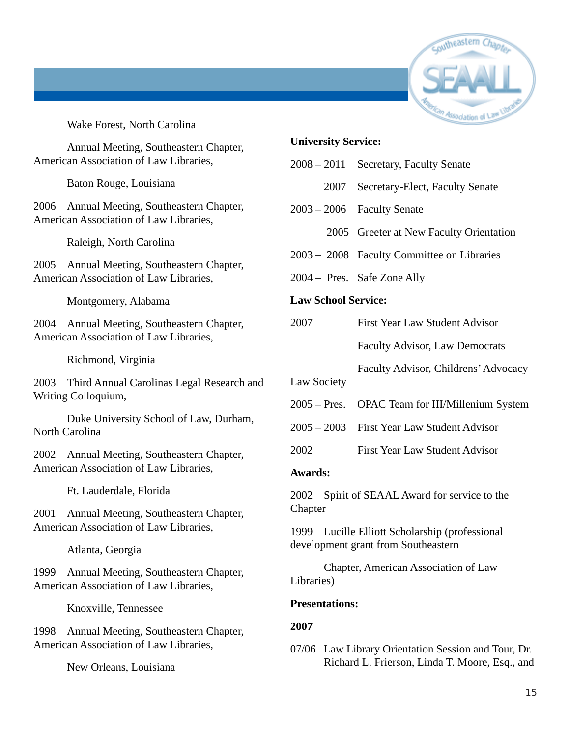

Wake Forest, North Carolina

Annual Meeting, Southeastern Chapter, American Association of Law Libraries,

Baton Rouge, Louisiana

2006 Annual Meeting, Southeastern Chapter, American Association of Law Libraries,

Raleigh, North Carolina

2005 Annual Meeting, Southeastern Chapter, American Association of Law Libraries,

Montgomery, Alabama

2004 Annual Meeting, Southeastern Chapter, American Association of Law Libraries,

Richmond, Virginia

2003 Third Annual Carolinas Legal Research and Writing Colloquium,

Duke University School of Law, Durham, North Carolina

2002 Annual Meeting, Southeastern Chapter, American Association of Law Libraries,

Ft. Lauderdale, Florida

2001 Annual Meeting, Southeastern Chapter, American Association of Law Libraries,

Atlanta, Georgia

1999 Annual Meeting, Southeastern Chapter, American Association of Law Libraries,

Knoxville, Tennessee

1998 Annual Meeting, Southeastern Chapter, American Association of Law Libraries,

New Orleans, Louisiana

#### **University Service:**

| $2008 - 2011$              | Secretary, Faculty Senate                                                             |  |
|----------------------------|---------------------------------------------------------------------------------------|--|
| 2007                       | Secretary-Elect, Faculty Senate                                                       |  |
| $2003 - 2006$              | <b>Faculty Senate</b>                                                                 |  |
|                            | 2005 Greeter at New Faculty Orientation                                               |  |
|                            | 2003 – 2008 Faculty Committee on Libraries                                            |  |
|                            | 2004 – Pres. Safe Zone Ally                                                           |  |
| <b>Law School Service:</b> |                                                                                       |  |
| 2007                       | <b>First Year Law Student Advisor</b>                                                 |  |
|                            | <b>Faculty Advisor, Law Democrats</b>                                                 |  |
|                            | Faculty Advisor, Childrens' Advocacy                                                  |  |
| <b>Law Society</b>         |                                                                                       |  |
|                            | 2005 – Pres. OPAC Team for III/Millenium System                                       |  |
|                            | 2005 – 2003 First Year Law Student Advisor                                            |  |
| 2002                       | <b>First Year Law Student Advisor</b>                                                 |  |
| <b>Awards:</b>             |                                                                                       |  |
| Chapter                    | 2002 Spirit of SEAAL Award for service to the                                         |  |
|                            | 1999 Lucille Elliott Scholarship (professional<br>development grant from Southeastern |  |
| Libraries)                 | Chapter, American Association of Law                                                  |  |
| <b>Presentations:</b>      |                                                                                       |  |
| 2007                       |                                                                                       |  |
|                            |                                                                                       |  |

07/06 Law Library Orientation Session and Tour, Dr. Richard L. Frierson, Linda T. Moore, Esq., and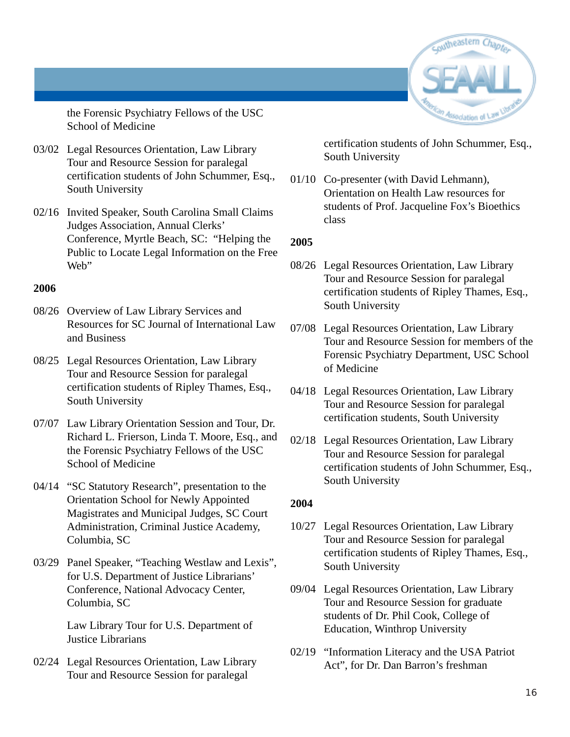

the Forensic Psychiatry Fellows of the USC School of Medicine

- 03/02 Legal Resources Orientation, Law Library Tour and Resource Session for paralegal certification students of John Schummer, Esq., South University
- 02/16 Invited Speaker, South Carolina Small Claims Judges Association, Annual Clerks' Conference, Myrtle Beach, SC: "Helping the Public to Locate Legal Information on the Free Web"

#### **2006**

- 08/26 Overview of Law Library Services and Resources for SC Journal of International Law and Business
- 08/25 Legal Resources Orientation, Law Library Tour and Resource Session for paralegal certification students of Ripley Thames, Esq., South University
- 07/07 Law Library Orientation Session and Tour, Dr. Richard L. Frierson, Linda T. Moore, Esq., and the Forensic Psychiatry Fellows of the USC School of Medicine
- 04/14 "SC Statutory Research", presentation to the Orientation School for Newly Appointed Magistrates and Municipal Judges, SC Court Administration, Criminal Justice Academy, Columbia, SC
- 03/29 Panel Speaker, "Teaching Westlaw and Lexis", for U.S. Department of Justice Librarians' Conference, National Advocacy Center, Columbia, SC

Law Library Tour for U.S. Department of Justice Librarians

02/24 Legal Resources Orientation, Law Library Tour and Resource Session for paralegal

certification students of John Schummer, Esq., South University

01/10 Co-presenter (with David Lehmann), Orientation on Health Law resources for students of Prof. Jacqueline Fox's Bioethics class

#### **2005**

- 08/26 Legal Resources Orientation, Law Library Tour and Resource Session for paralegal certification students of Ripley Thames, Esq., South University
- 07/08 Legal Resources Orientation, Law Library Tour and Resource Session for members of the Forensic Psychiatry Department, USC School of Medicine
- 04/18 Legal Resources Orientation, Law Library Tour and Resource Session for paralegal certification students, South University
- 02/18 Legal Resources Orientation, Law Library Tour and Resource Session for paralegal certification students of John Schummer, Esq., South University

#### **2004**

- 10/27 Legal Resources Orientation, Law Library Tour and Resource Session for paralegal certification students of Ripley Thames, Esq., South University
- 09/04 Legal Resources Orientation, Law Library Tour and Resource Session for graduate students of Dr. Phil Cook, College of Education, Winthrop University
- 02/19 "Information Literacy and the USA Patriot Act", for Dr. Dan Barron's freshman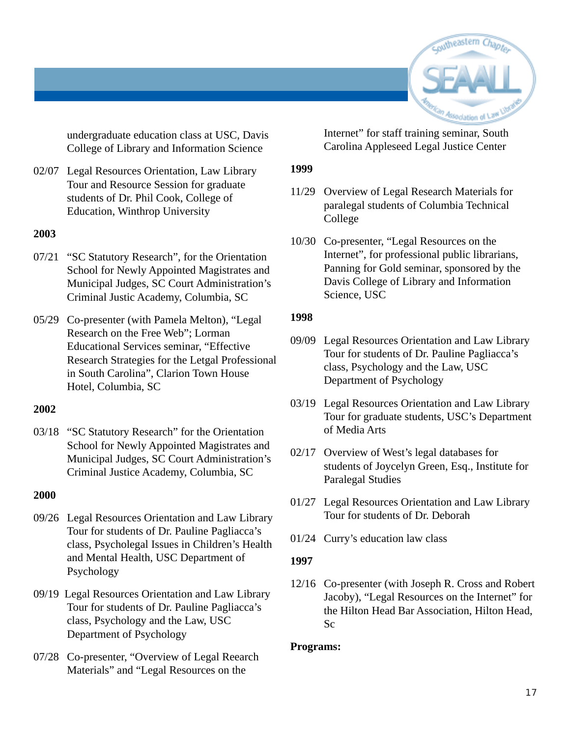

undergraduate education class at USC, Davis College of Library and Information Science

02/07 Legal Resources Orientation, Law Library Tour and Resource Session for graduate students of Dr. Phil Cook, College of Education, Winthrop University

#### **2003**

- 07/21 "SC Statutory Research", for the Orientation School for Newly Appointed Magistrates and Municipal Judges, SC Court Administration's Criminal Justic Academy, Columbia, SC
- 05/29 Co-presenter (with Pamela Melton), "Legal Research on the Free Web"; Lorman Educational Services seminar, "Effective Research Strategies for the Letgal Professional in South Carolina", Clarion Town House Hotel, Columbia, SC

#### **2002**

03/18 "SC Statutory Research" for the Orientation School for Newly Appointed Magistrates and Municipal Judges, SC Court Administration's Criminal Justice Academy, Columbia, SC

#### **2000**

- 09/26 Legal Resources Orientation and Law Library Tour for students of Dr. Pauline Pagliacca's class, Psycholegal Issues in Children's Health and Mental Health, USC Department of Psychology
- 09/19 Legal Resources Orientation and Law Library Tour for students of Dr. Pauline Pagliacca's class, Psychology and the Law, USC Department of Psychology
- 07/28 Co-presenter, "Overview of Legal Reearch Materials" and "Legal Resources on the

Internet" for staff training seminar, South Carolina Appleseed Legal Justice Center

#### **1999**

- 11/29 Overview of Legal Research Materials for paralegal students of Columbia Technical College
- 10/30 Co-presenter, "Legal Resources on the Internet", for professional public librarians, Panning for Gold seminar, sponsored by the Davis College of Library and Information Science, USC

#### **1998**

- 09/09 Legal Resources Orientation and Law Library Tour for students of Dr. Pauline Pagliacca's class, Psychology and the Law, USC Department of Psychology
- 03/19 Legal Resources Orientation and Law Library Tour for graduate students, USC's Department of Media Arts
- 02/17 Overview of West's legal databases for students of Joycelyn Green, Esq., Institute for Paralegal Studies
- 01/27 Legal Resources Orientation and Law Library Tour for students of Dr. Deborah
- 01/24 Curry's education law class

#### **1997**

12/16 Co-presenter (with Joseph R. Cross and Robert Jacoby), "Legal Resources on the Internet" for the Hilton Head Bar Association, Hilton Head, Sc

#### **Programs:**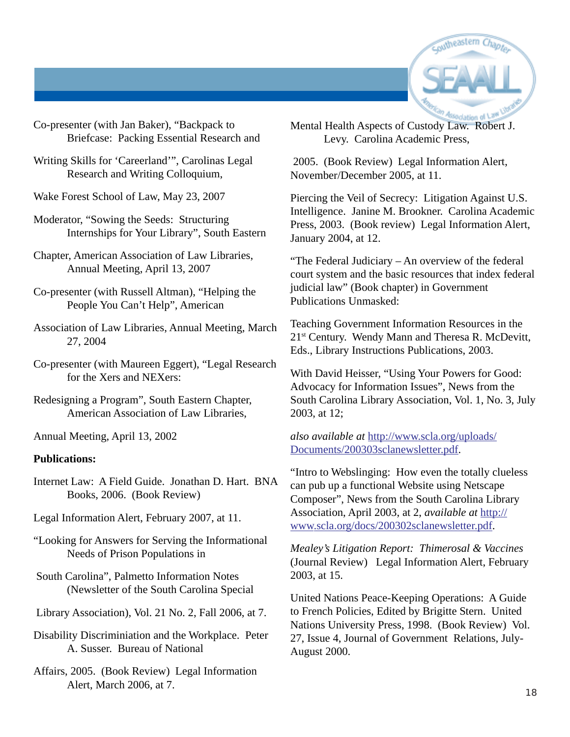

Co-presenter (with Jan Baker), "Backpack to Briefcase: Packing Essential Research and

Writing Skills for 'Careerland'", Carolinas Legal Research and Writing Colloquium,

Wake Forest School of Law, May 23, 2007

Moderator, "Sowing the Seeds: Structuring Internships for Your Library", South Eastern

Chapter, American Association of Law Libraries, Annual Meeting, April 13, 2007

Co-presenter (with Russell Altman), "Helping the People You Can't Help", American

Association of Law Libraries, Annual Meeting, March 27, 2004

Co-presenter (with Maureen Eggert), "Legal Research for the Xers and NEXers:

Redesigning a Program", South Eastern Chapter, American Association of Law Libraries,

Annual Meeting, April 13, 2002

#### **Publications:**

Internet Law: A Field Guide. Jonathan D. Hart. BNA Books, 2006. (Book Review)

Legal Information Alert, February 2007, at 11.

"Looking for Answers for Serving the Informational Needs of Prison Populations in

 South Carolina", Palmetto Information Notes (Newsletter of the South Carolina Special

Library Association), Vol. 21 No. 2, Fall 2006, at 7.

Disability Discriminiation and the Workplace. Peter A. Susser. Bureau of National

Affairs, 2005. (Book Review) Legal Information Alert, March 2006, at 7.

Mental Health Aspects of Custody Law. Robert J. Levy. Carolina Academic Press,

 2005. (Book Review) Legal Information Alert, November/December 2005, at 11.

Piercing the Veil of Secrecy: Litigation Against U.S. Intelligence. Janine M. Brookner. Carolina Academic Press, 2003. (Book review) Legal Information Alert, January 2004, at 12.

"The Federal Judiciary – An overview of the federal court system and the basic resources that index federal judicial law" (Book chapter) in Government Publications Unmasked:

Teaching Government Information Resources in the 21<sup>st</sup> Century. Wendy Mann and Theresa R. McDevitt, Eds., Library Instructions Publications, 2003.

With David Heisser, "Using Your Powers for Good: Advocacy for Information Issues", News from the South Carolina Library Association, Vol. 1, No. 3, July 2003, at 12;

*also available at* http://www.scla.org/uploads/ Documents/200303sclanewsletter.pdf.

"Intro to Webslinging: How even the totally clueless can pub up a functional Website using Netscape Composer", News from the South Carolina Library Association, April 2003, at 2, *available at* http:// www.scla.org/docs/200302sclanewsletter.pdf.

*Mealey's Litigation Report: Thimerosal & Vaccines* (Journal Review) Legal Information Alert, February 2003, at 15.

United Nations Peace-Keeping Operations: A Guide to French Policies, Edited by Brigitte Stern. United Nations University Press, 1998. (Book Review) Vol. 27, Issue 4, Journal of Government Relations, July-August 2000.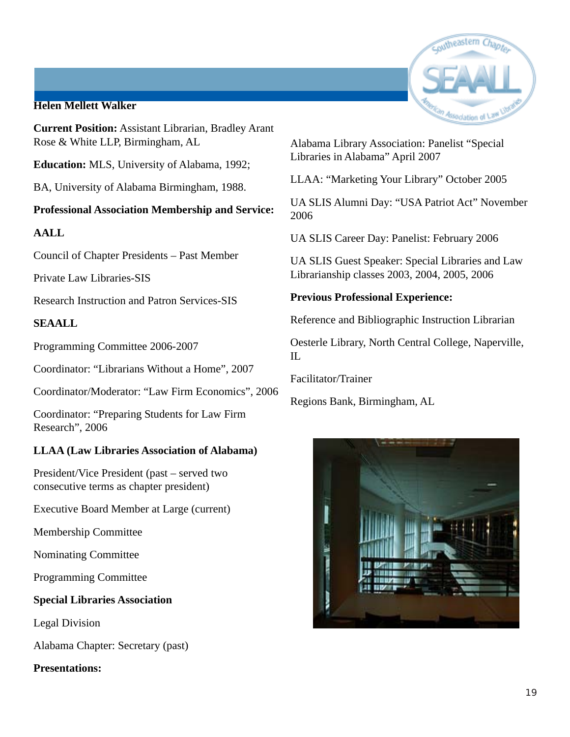#### **Helen Mellett Walker**

**Current Position:** Assistant Librarian, Bradley Arant Rose & White LLP, Birmingham, AL

**Education:** MLS, University of Alabama, 1992;

BA, University of Alabama Birmingham, 1988.

#### **Professional Association Membership and Service:**

#### **AALL**

Council of Chapter Presidents – Past Member

Private Law Libraries-SIS

Research Instruction and Patron Services-SIS

#### **SEAALL**

Programming Committee 2006-2007

Coordinator: "Librarians Without a Home", 2007

Coordinator/Moderator: "Law Firm Economics", 2006

Coordinator: "Preparing Students for Law Firm Research", 2006

#### **LLAA (Law Libraries Association of Alabama)**

President/Vice President (past – served two consecutive terms as chapter president)

Executive Board Member at Large (current)

Membership Committee

Nominating Committee

Programming Committee

#### **Special Libraries Association**

Legal Division

Alabama Chapter: Secretary (past)

#### **Presentations:**



Alabama Library Association: Panelist "Special Libraries in Alabama" April 2007

LLAA: "Marketing Your Library" October 2005

UA SLIS Alumni Day: "USA Patriot Act" November 2006

UA SLIS Career Day: Panelist: February 2006

UA SLIS Guest Speaker: Special Libraries and Law Librarianship classes 2003, 2004, 2005, 2006

**Previous Professional Experience:**

Reference and Bibliographic Instruction Librarian

Oesterle Library, North Central College, Naperville, IL

Facilitator/Trainer

Regions Bank, Birmingham, AL

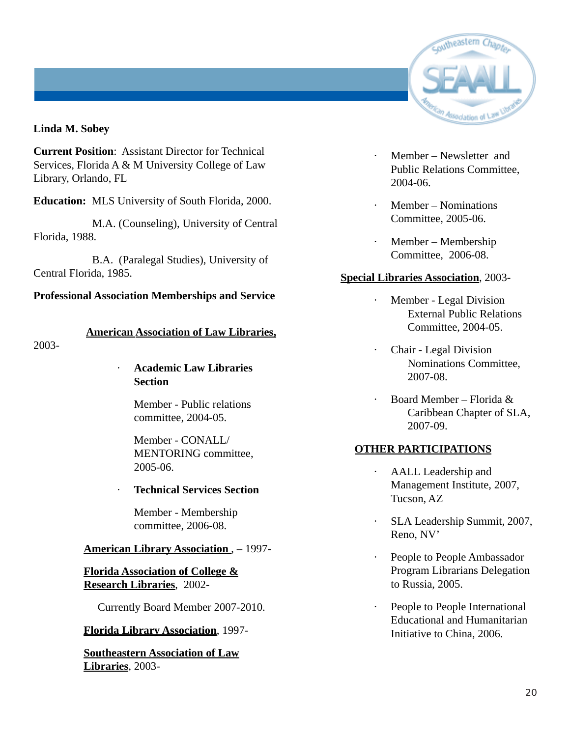

#### **Linda M. Sobey**

**Current Position**: Assistant Director for Technical Services, Florida A & M University College of Law Library, Orlando, FL

**Education:** MLS University of South Florida, 2000.

 M.A. (Counseling), University of Central Florida, 1988.

 B.A. (Paralegal Studies), University of Central Florida, 1985.

#### **Professional Association Memberships and Service**

#### **American Association of Law Libraries,**

2003-

· **Academic Law Libraries Section**

> Member - Public relations committee, 2004-05.

Member - CONALL/ MENTORING committee, 2005-06.

#### · **Technical Services Section**

Member - Membership committee, 2006-08.

#### **American Library Association** , – 1997-

**Florida Association of College & Research Libraries**, 2002-

Currently Board Member 2007-2010.

#### **Florida Library Association**, 1997-

**Southeastern Association of Law Libraries**, 2003-

- · Member Newsletter and Public Relations Committee, 2004-06.
- Member Nominations Committee, 2005-06.
- · Member Membership Committee, 2006-08.

#### **Special Libraries Association**, 2003-

- · Member Legal Division External Public Relations Committee, 2004-05.
- · Chair Legal Division Nominations Committee, 2007-08.
- · Board Member Florida & Caribbean Chapter of SLA, 2007-09.

#### **OTHER PARTICIPATIONS**

- · AALL Leadership and Management Institute, 2007, Tucson, AZ
- SLA Leadership Summit, 2007, Reno, NV'
- · People to People Ambassador Program Librarians Delegation to Russia, 2005.
- People to People International Educational and Humanitarian Initiative to China, 2006.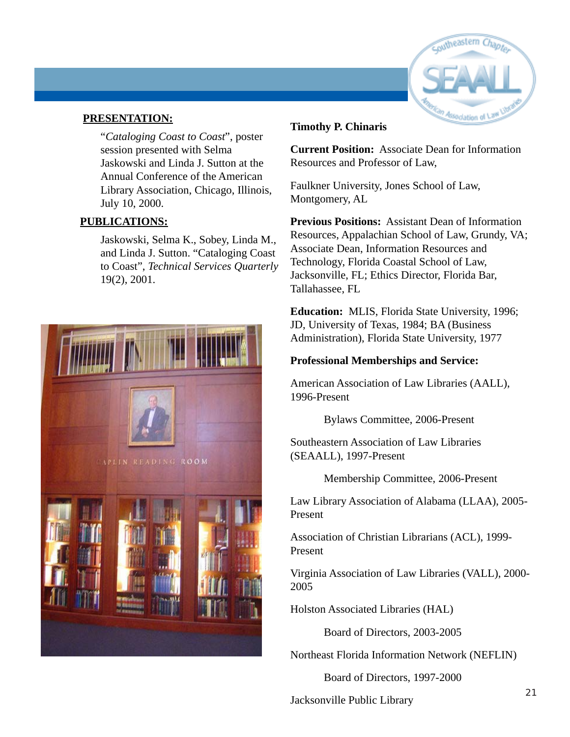

#### **PRESENTATION:**

"*Cataloging Coast to Coast*", poster session presented with Selma Jaskowski and Linda J. Sutton at the Annual Conference of the American Library Association, Chicago, Illinois, July 10, 2000.

#### **PUBLICATIONS:**

Jaskowski, Selma K., Sobey, Linda M., and Linda J. Sutton. "Cataloging Coast to Coast", *Technical Services Quarterly* 19(2), 2001.



#### **Timothy P. Chinaris**

**Current Position:** Associate Dean for Information Resources and Professor of Law,

Faulkner University, Jones School of Law, Montgomery, AL

**Previous Positions:** Assistant Dean of Information Resources, Appalachian School of Law, Grundy, VA; Associate Dean, Information Resources and Technology, Florida Coastal School of Law, Jacksonville, FL; Ethics Director, Florida Bar, Tallahassee, FL

**Education:** MLIS, Florida State University, 1996; JD, University of Texas, 1984; BA (Business Administration), Florida State University, 1977

#### **Professional Memberships and Service:**

American Association of Law Libraries (AALL), 1996-Present

Bylaws Committee, 2006-Present

Southeastern Association of Law Libraries (SEAALL), 1997-Present

Membership Committee, 2006-Present

Law Library Association of Alabama (LLAA), 2005- Present

Association of Christian Librarians (ACL), 1999- Present

Virginia Association of Law Libraries (VALL), 2000- 2005

Holston Associated Libraries (HAL)

Board of Directors, 2003-2005

Northeast Florida Information Network (NEFLIN)

Board of Directors, 1997-2000

Jacksonville Public Library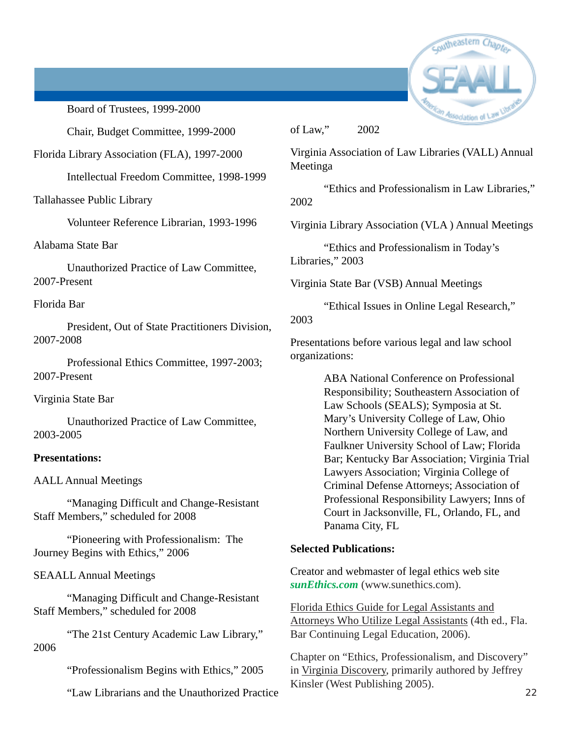

Board of Trustees, 1999-2000

Chair, Budget Committee, 1999-2000

Florida Library Association (FLA), 1997-2000

Intellectual Freedom Committee, 1998-1999

Tallahassee Public Library

Volunteer Reference Librarian, 1993-1996

Alabama State Bar

Unauthorized Practice of Law Committee, 2007-Present

Florida Bar

President, Out of State Practitioners Division, 2007-2008

Professional Ethics Committee, 1997-2003; 2007-Present

Virginia State Bar

Unauthorized Practice of Law Committee, 2003-2005

#### **Presentations:**

AALL Annual Meetings

"Managing Difficult and Change-Resistant Staff Members," scheduled for 2008

"Pioneering with Professionalism: The Journey Begins with Ethics," 2006

SEAALL Annual Meetings

"Managing Difficult and Change-Resistant Staff Members," scheduled for 2008

"The 21st Century Academic Law Library," 2006

"Professionalism Begins with Ethics," 2005

"Law Librarians and the Unauthorized Practice

of Law," 2002

Virginia Association of Law Libraries (VALL) Annual Meetinga

"Ethics and Professionalism in Law Libraries," 2002

Virginia Library Association (VLA ) Annual Meetings

"Ethics and Professionalism in Today's Libraries," 2003

Virginia State Bar (VSB) Annual Meetings

"Ethical Issues in Online Legal Research," 2003

Presentations before various legal and law school organizations:

> ABA National Conference on Professional Responsibility; Southeastern Association of Law Schools (SEALS); Symposia at St. Mary's University College of Law, Ohio Northern University College of Law, and Faulkner University School of Law; Florida Bar; Kentucky Bar Association; Virginia Trial Lawyers Association; Virginia College of Criminal Defense Attorneys; Association of Professional Responsibility Lawyers; Inns of Court in Jacksonville, FL, Orlando, FL, and Panama City, FL

#### **Selected Publications:**

Creator and webmaster of legal ethics web site *sunEthics.com* (www.sunethics.com).

Florida Ethics Guide for Legal Assistants and Attorneys Who Utilize Legal Assistants (4th ed., Fla. Bar Continuing Legal Education, 2006).

Chapter on "Ethics, Professionalism, and Discovery" in Virginia Discovery, primarily authored by Jeffrey Kinsler (West Publishing 2005).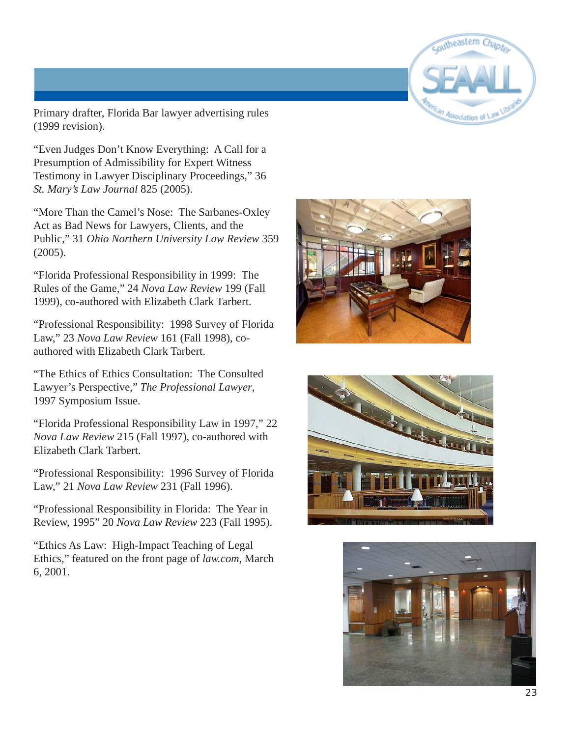

Primary drafter, Florida Bar lawyer advertising rules (1999 revision).

"Even Judges Don't Know Everything: A Call for a Presumption of Admissibility for Expert Witness Testimony in Lawyer Disciplinary Proceedings," 36 *St. Mary's Law Journal* 825 (2005).

"More Than the Camel's Nose: The Sarbanes-Oxley Act as Bad News for Lawyers, Clients, and the Public," 31 *Ohio Northern University Law Review* 359 (2005).

"Florida Professional Responsibility in 1999: The Rules of the Game," 24 *Nova Law Review* 199 (Fall 1999), co-authored with Elizabeth Clark Tarbert.

"Professional Responsibility: 1998 Survey of Florida Law," 23 *Nova Law Review* 161 (Fall 1998), coauthored with Elizabeth Clark Tarbert.

"The Ethics of Ethics Consultation: The Consulted Lawyer's Perspective," *The Professional Lawyer*, 1997 Symposium Issue.

"Florida Professional Responsibility Law in 1997," 22 *Nova Law Review* 215 (Fall 1997), co-authored with Elizabeth Clark Tarbert.

"Professional Responsibility: 1996 Survey of Florida Law," 21 *Nova Law Review* 231 (Fall 1996).

"Professional Responsibility in Florida: The Year in Review, 1995" 20 *Nova Law Review* 223 (Fall 1995).

"Ethics As Law: High-Impact Teaching of Legal Ethics," featured on the front page of *law.com*, March 6, 2001.





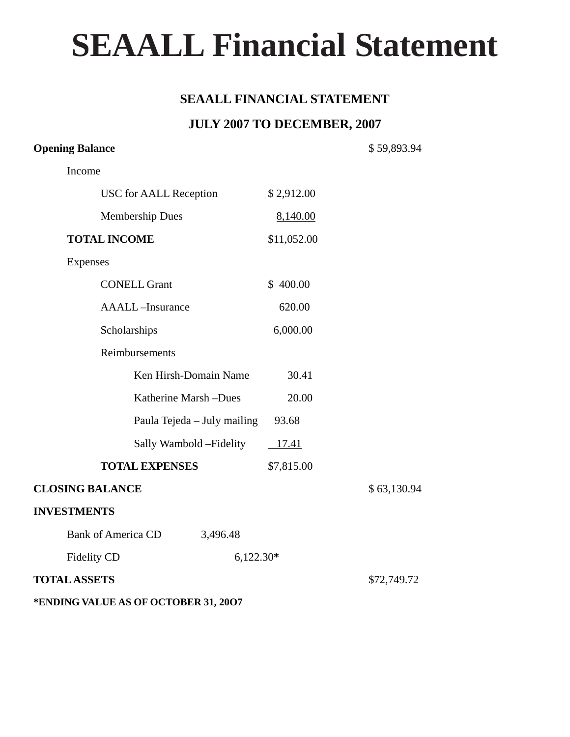# **SEAALL Financial Statement**

#### **SEAALL FINANCIAL STATEMENT**

#### **JULY 2007 TO DECEMBER, 2007**

#### **Opening Balance** \$ 59,893.94

Income

|                        | <b>USC</b> for AALL Reception |             | \$2,912.00  |             |
|------------------------|-------------------------------|-------------|-------------|-------------|
|                        | <b>Membership Dues</b>        |             | 8,140.00    |             |
|                        | <b>TOTAL INCOME</b>           |             | \$11,052.00 |             |
| Expenses               |                               |             |             |             |
|                        | <b>CONELL Grant</b>           |             | \$400.00    |             |
|                        | <b>AAALL-Insurance</b>        |             | 620.00      |             |
|                        | Scholarships                  |             | 6,000.00    |             |
|                        | Reimbursements                |             |             |             |
|                        | Ken Hirsh-Domain Name         |             | 30.41       |             |
|                        | Katherine Marsh -Dues         |             | 20.00       |             |
|                        | Paula Tejeda – July mailing   |             | 93.68       |             |
|                        | Sally Wambold – Fidelity      |             | $-17.41$    |             |
|                        | <b>TOTAL EXPENSES</b>         |             | \$7,815.00  |             |
| <b>CLOSING BALANCE</b> |                               |             |             | \$63,130.94 |
| <b>INVESTMENTS</b>     |                               |             |             |             |
|                        | <b>Bank of America CD</b>     | 3,496.48    |             |             |
| Fidelity CD            |                               | $6,122.30*$ |             |             |
| <b>TOTAL ASSETS</b>    |                               |             |             | \$72,749.72 |
|                        |                               |             |             |             |

#### **\*ENDING VALUE AS OF OCTOBER 31, 20O7**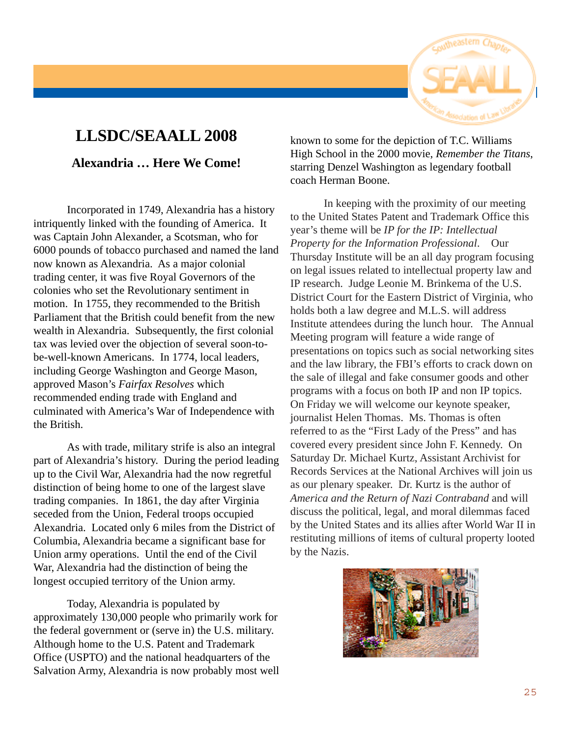

## **LLSDC/SEAALL 2008**

#### **Alexandria … Here We Come!**

Incorporated in 1749, Alexandria has a history intriquently linked with the founding of America. It was Captain John Alexander, a Scotsman, who for 6000 pounds of tobacco purchased and named the land now known as Alexandria. As a major colonial trading center, it was five Royal Governors of the colonies who set the Revolutionary sentiment in motion. In 1755, they recommended to the British Parliament that the British could benefit from the new wealth in Alexandria. Subsequently, the first colonial tax was levied over the objection of several soon-tobe-well-known Americans. In 1774, local leaders, including George Washington and George Mason, approved Mason's *Fairfax Resolves* which recommended ending trade with England and culminated with America's War of Independence with the British.

As with trade, military strife is also an integral part of Alexandria's history. During the period leading up to the Civil War, Alexandria had the now regretful distinction of being home to one of the largest slave trading companies. In 1861, the day after Virginia seceded from the Union, Federal troops occupied Alexandria. Located only 6 miles from the District of Columbia, Alexandria became a significant base for Union army operations. Until the end of the Civil War, Alexandria had the distinction of being the longest occupied territory of the Union army.

Today, Alexandria is populated by approximately 130,000 people who primarily work for the federal government or (serve in) the U.S. military. Although home to the U.S. Patent and Trademark Office (USPTO) and the national headquarters of the Salvation Army, Alexandria is now probably most well

known to some for the depiction of T.C. Williams High School in the 2000 movie, *Remember the Titans*, starring Denzel Washington as legendary football coach Herman Boone.

In keeping with the proximity of our meeting to the United States Patent and Trademark Office this year's theme will be *IP for the IP: Intellectual Property for the Information Professional*. Our Thursday Institute will be an all day program focusing on legal issues related to intellectual property law and IP research. Judge Leonie M. Brinkema of the U.S. District Court for the Eastern District of Virginia, who holds both a law degree and M.L.S. will address Institute attendees during the lunch hour. The Annual Meeting program will feature a wide range of presentations on topics such as social networking sites and the law library, the FBI's efforts to crack down on the sale of illegal and fake consumer goods and other programs with a focus on both IP and non IP topics. On Friday we will welcome our keynote speaker, journalist Helen Thomas. Ms. Thomas is often referred to as the "First Lady of the Press" and has covered every president since John F. Kennedy. On Saturday Dr. Michael Kurtz, Assistant Archivist for Records Services at the National Archives will join us as our plenary speaker. Dr. Kurtz is the author of *America and the Return of Nazi Contraband* and will discuss the political, legal, and moral dilemmas faced by the United States and its allies after World War II in restituting millions of items of cultural property looted by the Nazis.

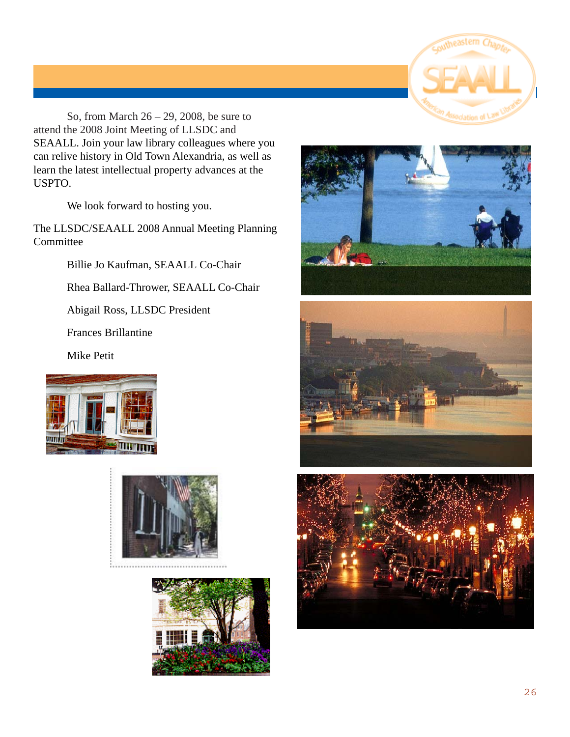

So, from March 26 – 29, 2008, be sure to attend the 2008 Joint Meeting of LLSDC and SEAALL. Join your law library colleagues where you can relive history in Old Town Alexandria, as well as learn the latest intellectual property advances at the USPTO.

We look forward to hosting you.

The LLSDC/SEAALL 2008 Annual Meeting Planning Committee

Billie Jo Kaufman, SEAALL Co-Chair

Rhea Ballard-Thrower, SEAALL Co-Chair

Abigail Ross, LLSDC President

Frances Brillantine

Mike Petit











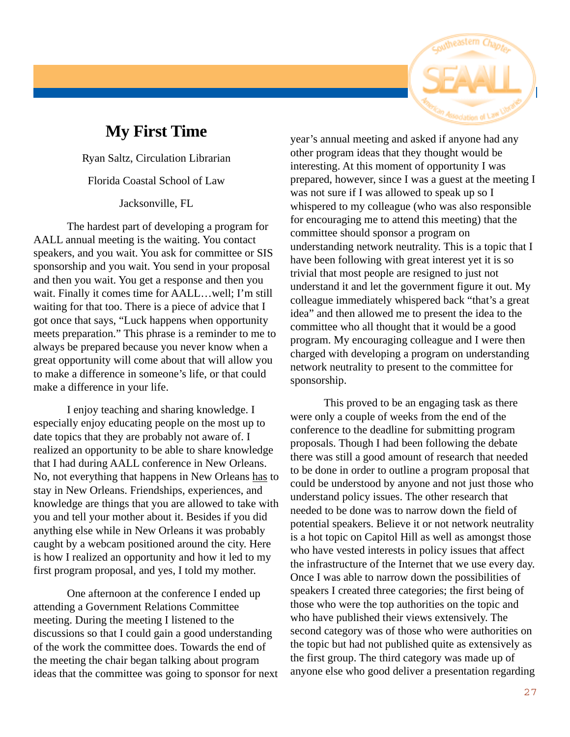

## **My First Time**

Ryan Saltz, Circulation Librarian

Florida Coastal School of Law

Jacksonville, FL

The hardest part of developing a program for AALL annual meeting is the waiting. You contact speakers, and you wait. You ask for committee or SIS sponsorship and you wait. You send in your proposal and then you wait. You get a response and then you wait. Finally it comes time for AALL…well; I'm still waiting for that too. There is a piece of advice that I got once that says, "Luck happens when opportunity meets preparation." This phrase is a reminder to me to always be prepared because you never know when a great opportunity will come about that will allow you to make a difference in someone's life, or that could make a difference in your life.

I enjoy teaching and sharing knowledge. I especially enjoy educating people on the most up to date topics that they are probably not aware of. I realized an opportunity to be able to share knowledge that I had during AALL conference in New Orleans. No, not everything that happens in New Orleans has to stay in New Orleans. Friendships, experiences, and knowledge are things that you are allowed to take with you and tell your mother about it. Besides if you did anything else while in New Orleans it was probably caught by a webcam positioned around the city. Here is how I realized an opportunity and how it led to my first program proposal, and yes, I told my mother.

One afternoon at the conference I ended up attending a Government Relations Committee meeting. During the meeting I listened to the discussions so that I could gain a good understanding of the work the committee does. Towards the end of the meeting the chair began talking about program ideas that the committee was going to sponsor for next

year's annual meeting and asked if anyone had any other program ideas that they thought would be interesting. At this moment of opportunity I was prepared, however, since I was a guest at the meeting I was not sure if I was allowed to speak up so I whispered to my colleague (who was also responsible for encouraging me to attend this meeting) that the committee should sponsor a program on understanding network neutrality. This is a topic that I have been following with great interest yet it is so trivial that most people are resigned to just not understand it and let the government figure it out. My colleague immediately whispered back "that's a great idea" and then allowed me to present the idea to the committee who all thought that it would be a good program. My encouraging colleague and I were then charged with developing a program on understanding network neutrality to present to the committee for sponsorship.

This proved to be an engaging task as there were only a couple of weeks from the end of the conference to the deadline for submitting program proposals. Though I had been following the debate there was still a good amount of research that needed to be done in order to outline a program proposal that could be understood by anyone and not just those who understand policy issues. The other research that needed to be done was to narrow down the field of potential speakers. Believe it or not network neutrality is a hot topic on Capitol Hill as well as amongst those who have vested interests in policy issues that affect the infrastructure of the Internet that we use every day. Once I was able to narrow down the possibilities of speakers I created three categories; the first being of those who were the top authorities on the topic and who have published their views extensively. The second category was of those who were authorities on the topic but had not published quite as extensively as the first group. The third category was made up of anyone else who good deliver a presentation regarding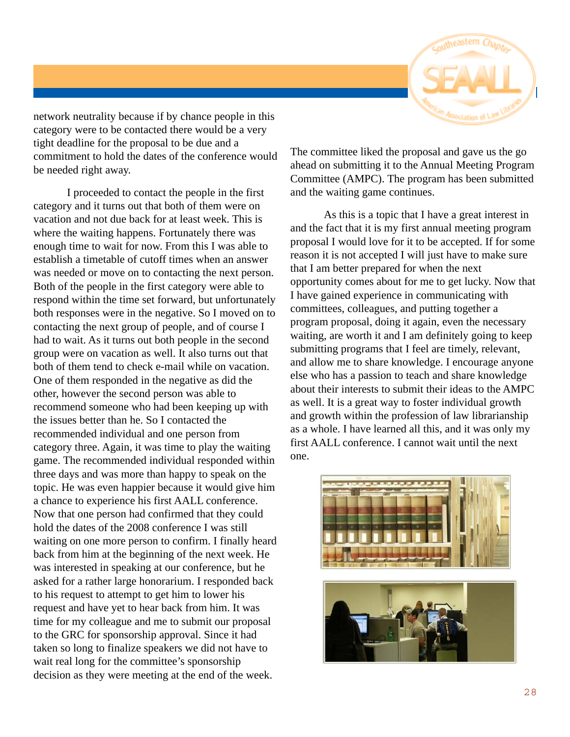

network neutrality because if by chance people in this category were to be contacted there would be a very tight deadline for the proposal to be due and a commitment to hold the dates of the conference would be needed right away.

I proceeded to contact the people in the first category and it turns out that both of them were on vacation and not due back for at least week. This is where the waiting happens. Fortunately there was enough time to wait for now. From this I was able to establish a timetable of cutoff times when an answer was needed or move on to contacting the next person. Both of the people in the first category were able to respond within the time set forward, but unfortunately both responses were in the negative. So I moved on to contacting the next group of people, and of course I had to wait. As it turns out both people in the second group were on vacation as well. It also turns out that both of them tend to check e-mail while on vacation. One of them responded in the negative as did the other, however the second person was able to recommend someone who had been keeping up with the issues better than he. So I contacted the recommended individual and one person from category three. Again, it was time to play the waiting game. The recommended individual responded within three days and was more than happy to speak on the topic. He was even happier because it would give him a chance to experience his first AALL conference. Now that one person had confirmed that they could hold the dates of the 2008 conference I was still waiting on one more person to confirm. I finally heard back from him at the beginning of the next week. He was interested in speaking at our conference, but he asked for a rather large honorarium. I responded back to his request to attempt to get him to lower his request and have yet to hear back from him. It was time for my colleague and me to submit our proposal to the GRC for sponsorship approval. Since it had taken so long to finalize speakers we did not have to wait real long for the committee's sponsorship decision as they were meeting at the end of the week.

The committee liked the proposal and gave us the go ahead on submitting it to the Annual Meeting Program Committee (AMPC). The program has been submitted and the waiting game continues.

As this is a topic that I have a great interest in and the fact that it is my first annual meeting program proposal I would love for it to be accepted. If for some reason it is not accepted I will just have to make sure that I am better prepared for when the next opportunity comes about for me to get lucky. Now that I have gained experience in communicating with committees, colleagues, and putting together a program proposal, doing it again, even the necessary waiting, are worth it and I am definitely going to keep submitting programs that I feel are timely, relevant, and allow me to share knowledge. I encourage anyone else who has a passion to teach and share knowledge about their interests to submit their ideas to the AMPC as well. It is a great way to foster individual growth and growth within the profession of law librarianship as a whole. I have learned all this, and it was only my first AALL conference. I cannot wait until the next one.

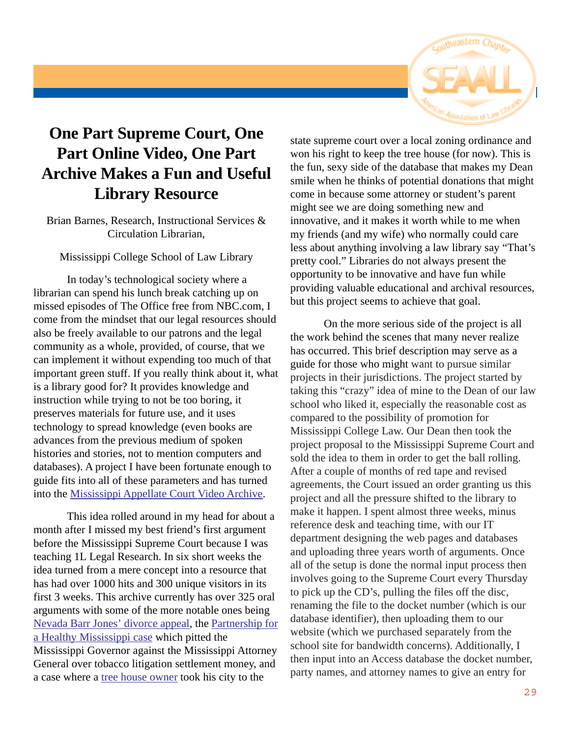

## **One Part Supreme Court, One Part Online Video, One Part Archive Makes a Fun and Useful Library Resource**

Brian Barnes, Research, Instructional Services & Circulation Librarian,

Mississippi College School of Law Library

In today's technological society where a librarian can spend his lunch break catching up on missed episodes of The Office free from NBC.com, I come from the mindset that our legal resources should also be freely available to our patrons and the legal community as a whole, provided, of course, that we can implement it without expending too much of that important green stuff. If you really think about it, what is a library good for? It provides knowledge and instruction while trying to not be too boring, it preserves materials for future use, and it uses technology to spread knowledge (even books are advances from the previous medium of spoken histories and stories, not to mention computers and databases). A project I have been fortunate enough to guide fits into all of these parameters and has turned into the Mississippi Appellate Court Video Archive.

This idea rolled around in my head for about a month after I missed my best friend's first argument before the Mississippi Supreme Court because I was teaching 1L Legal Research. In six short weeks the idea turned from a mere concept into a resource that has had over 1000 hits and 300 unique visitors in its first 3 weeks. This archive currently has over 325 oral arguments with some of the more notable ones being Nevada Barr Jones' divorce appeal, the Partnership for a Healthy Mississippi case which pitted the Mississippi Governor against the Mississippi Attorney General over tobacco litigation settlement money, and a case where a tree house owner took his city to the

state supreme court over a local zoning ordinance and won his right to keep the tree house (for now). This is the fun, sexy side of the database that makes my Dean smile when he thinks of potential donations that might come in because some attorney or student's parent might see we are doing something new and innovative, and it makes it worth while to me when my friends (and my wife) who normally could care less about anything involving a law library say "That's pretty cool." Libraries do not always present the opportunity to be innovative and have fun while providing valuable educational and archival resources, but this project seems to achieve that goal.

On the more serious side of the project is all the work behind the scenes that many never realize has occurred. This brief description may serve as a guide for those who might want to pursue similar projects in their jurisdictions. The project started by taking this "crazy" idea of mine to the Dean of our law school who liked it, especially the reasonable cost as compared to the possibility of promotion for Mississippi College Law. Our Dean then took the project proposal to the Mississippi Supreme Court and sold the idea to them in order to get the ball rolling. After a couple of months of red tape and revised agreements, the Court issued an order granting us this project and all the pressure shifted to the library to make it happen. I spent almost three weeks, minus reference desk and teaching time, with our IT department designing the web pages and databases and uploading three years worth of arguments. Once all of the setup is done the normal input process then involves going to the Supreme Court every Thursday to pick up the CD's, pulling the files off the disc, renaming the file to the docket number (which is our database identifier), then uploading them to our website (which we purchased separately from the school site for bandwidth concerns). Additionally, I then input into an Access database the docket number, party names, and attorney names to give an entry for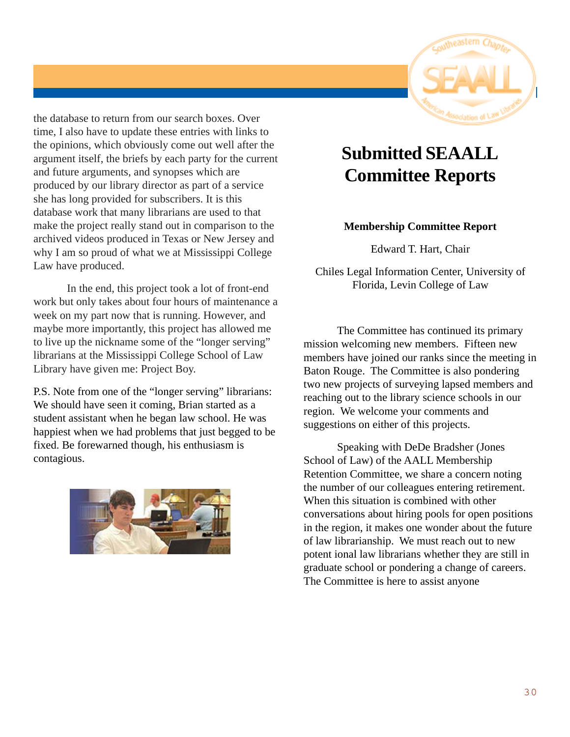

the database to return from our search boxes. Over time, I also have to update these entries with links to the opinions, which obviously come out well after the argument itself, the briefs by each party for the current and future arguments, and synopses which are produced by our library director as part of a service she has long provided for subscribers. It is this database work that many librarians are used to that make the project really stand out in comparison to the archived videos produced in Texas or New Jersey and why I am so proud of what we at Mississippi College Law have produced.

In the end, this project took a lot of front-end work but only takes about four hours of maintenance a week on my part now that is running. However, and maybe more importantly, this project has allowed me to live up the nickname some of the "longer serving" librarians at the Mississippi College School of Law Library have given me: Project Boy.

P.S. Note from one of the "longer serving" librarians: We should have seen it coming, Brian started as a student assistant when he began law school. He was happiest when we had problems that just begged to be fixed. Be forewarned though, his enthusiasm is contagious.



## **Submitted SEAALL Committee Reports**

#### **Membership Committee Report**

Edward T. Hart, Chair

Chiles Legal Information Center, University of Florida, Levin College of Law

The Committee has continued its primary mission welcoming new members. Fifteen new members have joined our ranks since the meeting in Baton Rouge. The Committee is also pondering two new projects of surveying lapsed members and reaching out to the library science schools in our region. We welcome your comments and suggestions on either of this projects.

Speaking with DeDe Bradsher (Jones School of Law) of the AALL Membership Retention Committee, we share a concern noting the number of our colleagues entering retirement. When this situation is combined with other conversations about hiring pools for open positions in the region, it makes one wonder about the future of law librarianship. We must reach out to new potent ional law librarians whether they are still in graduate school or pondering a change of careers. The Committee is here to assist anyone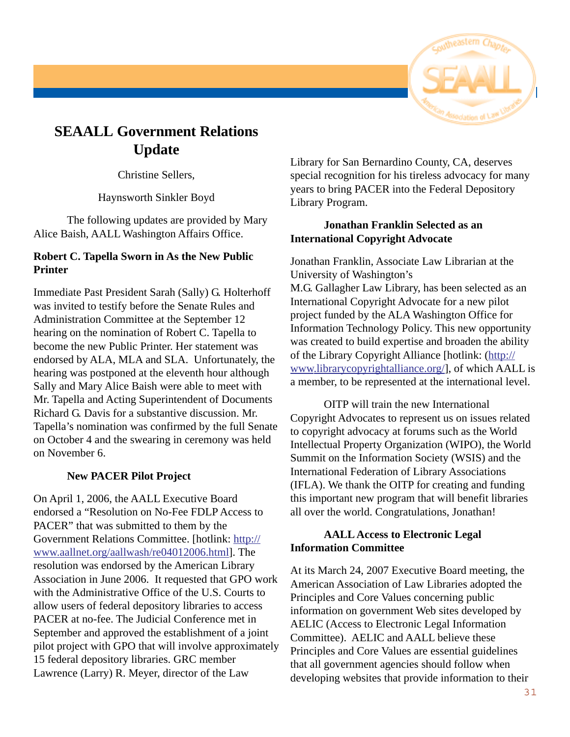

## **SEAALL Government Relations Update**

Christine Sellers,

Haynsworth Sinkler Boyd

The following updates are provided by Mary Alice Baish, AALL Washington Affairs Office.

#### **Robert C. Tapella Sworn in As the New Public Printer**

Immediate Past President Sarah (Sally) G. Holterhoff was invited to testify before the Senate Rules and Administration Committee at the September 12 hearing on the nomination of Robert C. Tapella to become the new Public Printer. Her statement was endorsed by ALA, MLA and SLA. Unfortunately, the hearing was postponed at the eleventh hour although Sally and Mary Alice Baish were able to meet with Mr. Tapella and Acting Superintendent of Documents Richard G. Davis for a substantive discussion. Mr. Tapella's nomination was confirmed by the full Senate on October 4 and the swearing in ceremony was held on November 6.

#### **New PACER Pilot Project**

On April 1, 2006, the AALL Executive Board endorsed a "Resolution on No-Fee FDLP Access to PACER" that was submitted to them by the Government Relations Committee. [hotlink: http:// www.aallnet.org/aallwash/re04012006.html]. The resolution was endorsed by the American Library Association in June 2006. It requested that GPO work with the Administrative Office of the U.S. Courts to allow users of federal depository libraries to access PACER at no-fee. The Judicial Conference met in September and approved the establishment of a joint pilot project with GPO that will involve approximately 15 federal depository libraries. GRC member Lawrence (Larry) R. Meyer, director of the Law

Library for San Bernardino County, CA, deserves special recognition for his tireless advocacy for many years to bring PACER into the Federal Depository Library Program.

#### **Jonathan Franklin Selected as an International Copyright Advocate**

Jonathan Franklin, Associate Law Librarian at the University of Washington's M.G. Gallagher Law Library, has been selected as an International Copyright Advocate for a new pilot project funded by the ALA Washington Office for Information Technology Policy. This new opportunity was created to build expertise and broaden the ability of the Library Copyright Alliance [hotlink: (http:// www.librarycopyrightalliance.org/], of which AALL is a member, to be represented at the international level.

OITP will train the new International Copyright Advocates to represent us on issues related to copyright advocacy at forums such as the World Intellectual Property Organization (WIPO), the World Summit on the Information Society (WSIS) and the International Federation of Library Associations (IFLA). We thank the OITP for creating and funding this important new program that will benefit libraries all over the world. Congratulations, Jonathan!

#### **AALL Access to Electronic Legal Information Committee**

At its March 24, 2007 Executive Board meeting, the American Association of Law Libraries adopted the Principles and Core Values concerning public information on government Web sites developed by AELIC (Access to Electronic Legal Information Committee). AELIC and AALL believe these Principles and Core Values are essential guidelines that all government agencies should follow when developing websites that provide information to their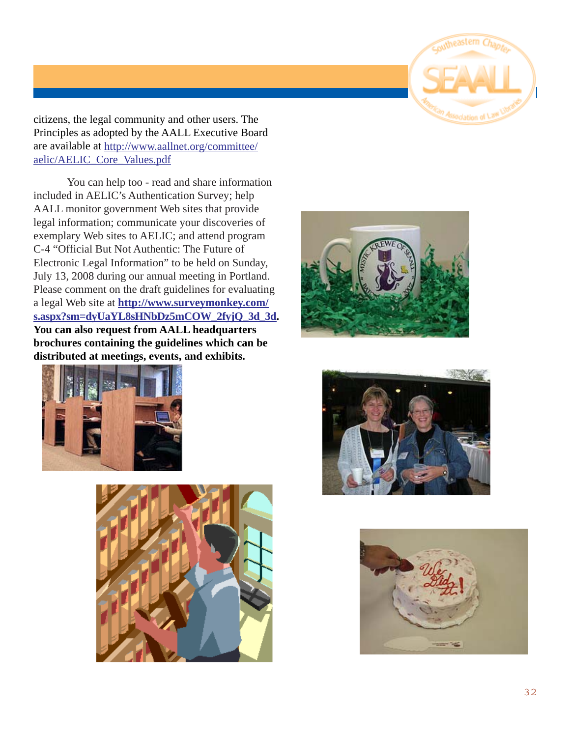

citizens, the legal community and other users. The Principles as adopted by the AALL Executive Board are available at http://www.aallnet.org/committee/ aelic/AELIC\_Core\_Values.pdf

You can help too - read and share information included in AELIC's Authentication Survey; help AALL monitor government Web sites that provide legal information; communicate your discoveries of exemplary Web sites to AELIC; and attend program C-4 "Official But Not Authentic: The Future of Electronic Legal Information" to be held on Sunday, July 13, 2008 during our annual meeting in Portland. Please comment on the draft guidelines for evaluating a legal Web site at **http://www.surveymonkey.com/ s.aspx?sm=dyUaYL8sHNbDz5mCOW\_2fyjQ\_3d\_3d. You can also request from AALL headquarters brochures containing the guidelines which can be distributed at meetings, events, and exhibits.**









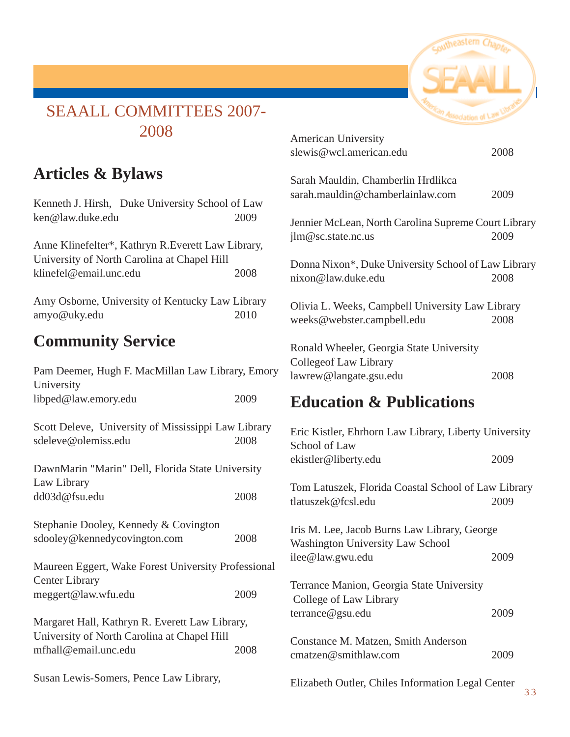

## SEAALL COMMITTEES 2007- 2008

## **Articles & Bylaws**

Kenneth J. Hirsh, Duke University School of Law ken@law.duke.edu 2009

Anne Klinefelter\*, Kathryn R.Everett Law Library, University of North Carolina at Chapel Hill klinefel@email.unc.edu 2008

Amy Osborne, University of Kentucky Law Library amyo@uky.edu 2010

## **Community Service**

| Pam Deemer, Hugh F. MacMillan Law Library, Emory<br>University                                |      |  |  |
|-----------------------------------------------------------------------------------------------|------|--|--|
| libped@law.emory.edu                                                                          | 2009 |  |  |
| Scott Deleve, University of Mississippi Law Library<br>sdeleve@olemiss.edu                    | 2008 |  |  |
| DawnMarin "Marin" Dell, Florida State University<br>Law Library                               |      |  |  |
| dd03d@fsu.edu                                                                                 | 2008 |  |  |
| Stephanie Dooley, Kennedy & Covington                                                         |      |  |  |
| sdooley@kennedycovington.com                                                                  | 2008 |  |  |
| Maureen Eggert, Wake Forest University Professional<br><b>Center Library</b>                  |      |  |  |
| meggert@law.wfu.edu                                                                           | 2009 |  |  |
| Margaret Hall, Kathryn R. Everett Law Library,<br>University of North Carolina at Chapel Hill |      |  |  |
| mfhall@email.unc.edu                                                                          | 2008 |  |  |
| Susan Lewis-Somers, Pence Law Library,                                                        |      |  |  |

| <b>American University</b><br>slewis@wcl.american.edu                                              | 2008 |
|----------------------------------------------------------------------------------------------------|------|
| Sarah Mauldin, Chamberlin Hrdlikca<br>sarah.mauldin@chamberlainlaw.com                             | 2009 |
| Jennier McLean, North Carolina Supreme Court Library<br>jlm@sc.state.nc.us                         | 2009 |
| Donna Nixon*, Duke University School of Law Library<br>nixon@law.duke.edu                          | 2008 |
| Olivia L. Weeks, Campbell University Law Library<br>weeks@webster.campbell.edu                     | 2008 |
| Ronald Wheeler, Georgia State University<br><b>Collegeof Law Library</b><br>lawrew@langate.gsu.edu | 2008 |
|                                                                                                    |      |

## **Education & Publications**

| Eric Kistler, Ehrhorn Law Library, Liberty University<br>School of Law                  |      |  |  |
|-----------------------------------------------------------------------------------------|------|--|--|
| ekistler@liberty.edu                                                                    | 2009 |  |  |
| Tom Latuszek, Florida Coastal School of Law Library<br>tlatuszek@fcsl.edu               | 2009 |  |  |
| Iris M. Lee, Jacob Burns Law Library, George<br><b>Washington University Law School</b> |      |  |  |
| ilee@law.gwu.edu                                                                        | 2009 |  |  |
| Terrance Manion, Georgia State University<br>College of Law Library                     |      |  |  |
| terrance@gsu.edu                                                                        | 2009 |  |  |
| Constance M. Matzen, Smith Anderson<br>cmatzen@smithlaw.com                             | 2009 |  |  |
| Elizabeth Outler, Chiles Information Legal Center                                       |      |  |  |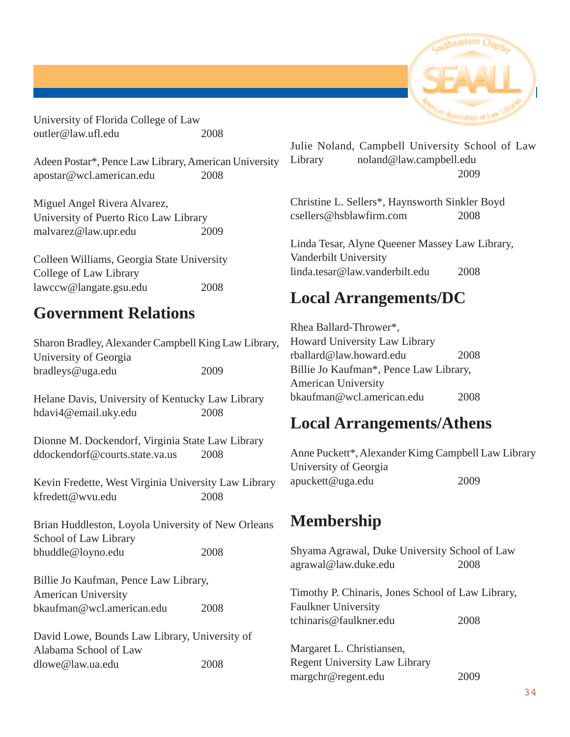University of Florida College of Law outler@law.ufl.edu 2008

Adeen Postar\*, Pence Law Library, American University apostar@wcl.american.edu 2008

Miguel Angel Rivera Alvarez, University of Puerto Rico Law Library malvarez@law.upr.edu 2009

Colleen Williams, Georgia State University College of Law Library lawccw@langate.gsu.edu 2008

## **Government Relations**

| Sharon Bradley, Alexander Campbell King Law Library, |      |
|------------------------------------------------------|------|
| University of Georgia                                |      |
| bradleys@uga.edu                                     | 2009 |

Helane Davis, University of Kentucky Law Library hdavi4@email.uky.edu 2008

Dionne M. Dockendorf, Virginia State Law Library ddockendorf@courts.state.va.us 2008

Kevin Fredette, West Virginia University Law Library kfredett@wvu.edu 2008

Brian Huddleston, Loyola University of New Orleans School of Law Library bhuddle@loyno.edu 2008

Billie Jo Kaufman, Pence Law Library, American University bkaufman@wcl.american.edu 2008

David Lowe, Bounds Law Library, University of Alabama School of Law dlowe@law.ua.edu 2008

Julie Noland, Campbell University School of Law Library noland@law.campbell.edu 2009

Christine L. Sellers\*, Haynsworth Sinkler Boyd csellers@hsblawfirm.com 2008

Linda Tesar, Alyne Queener Massey Law Library, Vanderbilt University linda.tesar@law.vanderbilt.edu 2008

## **Local Arrangements/DC**

Rhea Ballard-Thrower\*, Howard University Law Library rballard@law.howard.edu 2008 Billie Jo Kaufman\*, Pence Law Library, American University bkaufman@wcl.american.edu 2008

## **Local Arrangements/Athens**

Anne Puckett\*, Alexander Kimg Campbell Law Library University of Georgia apuckett@uga.edu 2009

## **Membership**

| Shyama Agrawal, Duke University School of Law<br>agrawal@law.duke.edu           | 2008 |
|---------------------------------------------------------------------------------|------|
| Timothy P. Chinaris, Jones School of Law Library,<br><b>Faulkner University</b> |      |
| tchinaris@faulkner.edu                                                          | 2008 |
| Margaret L. Christiansen,<br><b>Regent University Law Library</b>               |      |
| margchr@regent.edu                                                              |      |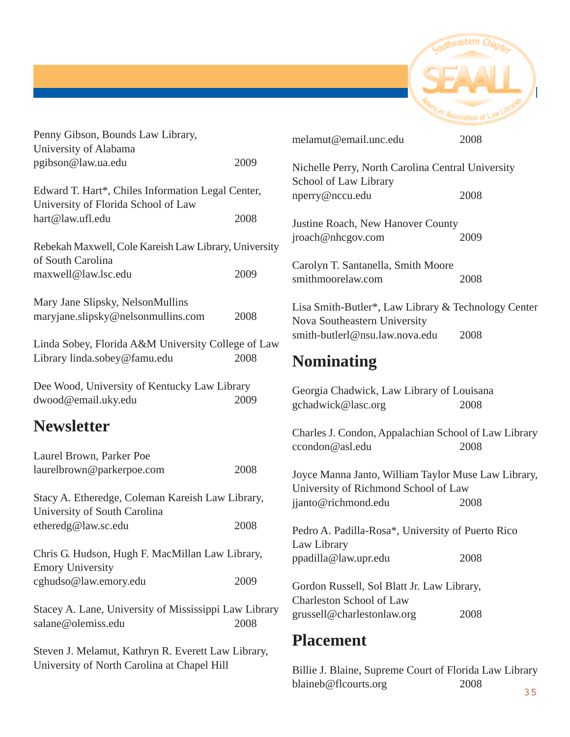

| Penny Gibson, Bounds Law Library,                                                        |      | melamut@email.unc.edu                                       | 2008 |  |
|------------------------------------------------------------------------------------------|------|-------------------------------------------------------------|------|--|
| University of Alabama                                                                    |      |                                                             |      |  |
| pgibson@law.ua.edu                                                                       | 2009 | Nichelle Perry, North Carolina Central University           |      |  |
| Edward T. Hart*, Chiles Information Legal Center,<br>University of Florida School of Law |      | School of Law Library<br>nperry@nccu.edu                    | 2008 |  |
|                                                                                          |      |                                                             |      |  |
| hart@law.ufl.edu                                                                         | 2008 | Justine Roach, New Hanover County                           |      |  |
| Rebekah Maxwell, Cole Kareish Law Library, University                                    |      | jroach@nhcgov.com                                           | 2009 |  |
| of South Carolina                                                                        |      | Carolyn T. Santanella, Smith Moore                          |      |  |
| maxwell@law.lsc.edu                                                                      | 2009 | smithmoorelaw.com                                           | 2008 |  |
| Mary Jane Slipsky, NelsonMullins                                                         |      | Lisa Smith-Butler*, Law Library & Technology Center         |      |  |
| maryjane.slipsky@nelsonmullins.com                                                       | 2008 | Nova Southeastern University                                |      |  |
| Linda Sobey, Florida A&M University College of Law                                       |      | smith-butlerl@nsu.law.nova.edu<br>2008                      |      |  |
| Library linda.sobey@famu.edu<br>2008                                                     |      | <b>Nominating</b>                                           |      |  |
| Dee Wood, University of Kentucky Law Library                                             |      | Georgia Chadwick, Law Library of Louisana                   |      |  |
| dwood@email.uky.edu                                                                      | 2009 | gchadwick@lasc.org                                          | 2008 |  |
| <b>Newsletter</b>                                                                        |      | Charles J. Condon, Appalachian School of Law Library        |      |  |
| Laurel Brown, Parker Poe                                                                 |      | ccondon@asl.edu                                             | 2008 |  |
| laurelbrown@parkerpoe.com                                                                | 2008 |                                                             |      |  |
|                                                                                          |      | Joyce Manna Janto, William Taylor Muse Law Library,         |      |  |
| Stacy A. Etheredge, Coleman Kareish Law Library,<br>University of South Carolina         |      | University of Richmond School of Law<br>jjanto@richmond.edu | 2008 |  |
| etheredg@law.sc.edu                                                                      | 2008 | Pedro A. Padilla-Rosa*, University of Puerto Rico           |      |  |
|                                                                                          |      | Law Library                                                 |      |  |
| Chris G. Hudson, Hugh F. MacMillan Law Library,                                          |      | ppadilla@law.upr.edu                                        | 2008 |  |
| <b>Emory University</b>                                                                  |      |                                                             |      |  |
| cghudso@law.emory.edu                                                                    | 2009 | Gordon Russell, Sol Blatt Jr. Law Library,                  |      |  |
|                                                                                          |      | Charleston School of Law                                    |      |  |
| Stacey A. Lane, University of Mississippi Law Library                                    |      | grussell@charlestonlaw.org                                  | 2008 |  |
| salane@olemiss.edu                                                                       | 2008 |                                                             |      |  |
| Steven J. Melamut, Kathryn R. Everett Law Library,                                       |      | <b>Placement</b>                                            |      |  |
| University of North Carolina at Chapel Hill                                              |      | Billia I Blaine, Supreme Court of Florida Law Library       |      |  |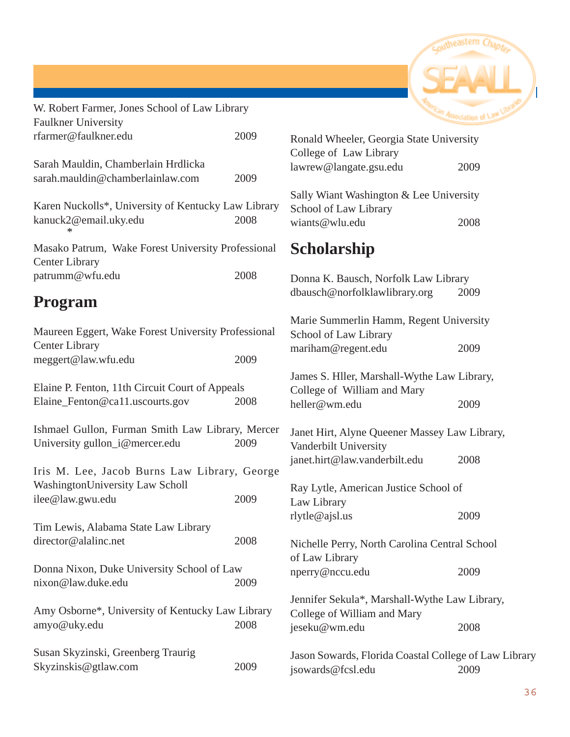

| W. Robert Farmer, Jones School of Law Library                               |      |                                                       | <b>Review Association of Law Library</b> |
|-----------------------------------------------------------------------------|------|-------------------------------------------------------|------------------------------------------|
| <b>Faulkner University</b>                                                  |      |                                                       |                                          |
| rfarmer@faulkner.edu                                                        | 2009 | Ronald Wheeler, Georgia State University              |                                          |
| Sarah Mauldin, Chamberlain Hrdlicka                                         |      | College of Law Library                                |                                          |
| sarah.mauldin@chamberlainlaw.com                                            | 2009 | lawrew@langate.gsu.edu                                | 2009                                     |
|                                                                             |      | Sally Wiant Washington & Lee University               |                                          |
| Karen Nuckolls*, University of Kentucky Law Library                         |      | School of Law Library                                 |                                          |
| kanuck2@email.uky.edu                                                       | 2008 | wiants@wlu.edu                                        | 2008                                     |
| Masako Patrum, Wake Forest University Professional<br><b>Center Library</b> |      | <b>Scholarship</b>                                    |                                          |
| patrumm@wfu.edu                                                             | 2008 | Donna K. Bausch, Norfolk Law Library                  |                                          |
|                                                                             |      | dbausch@norfolklawlibrary.org                         | 2009                                     |
| <b>Program</b>                                                              |      |                                                       |                                          |
| Maureen Eggert, Wake Forest University Professional                         |      | Marie Summerlin Hamm, Regent University               |                                          |
| <b>Center Library</b>                                                       |      | School of Law Library<br>mariham@regent.edu           | 2009                                     |
| meggert@law.wfu.edu                                                         | 2009 |                                                       |                                          |
|                                                                             |      | James S. Hller, Marshall-Wythe Law Library,           |                                          |
| Elaine P. Fenton, 11th Circuit Court of Appeals                             |      | College of William and Mary                           |                                          |
| Elaine_Fenton@ca11.uscourts.gov                                             | 2008 | heller@wm.edu                                         | 2009                                     |
| Ishmael Gullon, Furman Smith Law Library, Mercer                            |      | Janet Hirt, Alyne Queener Massey Law Library,         |                                          |
| University gullon_i@mercer.edu                                              | 2009 | Vanderbilt University                                 |                                          |
|                                                                             |      | janet.hirt@law.vanderbilt.edu                         | 2008                                     |
| Iris M. Lee, Jacob Burns Law Library, George                                |      |                                                       |                                          |
| WashingtonUniversity Law Scholl                                             |      | Ray Lytle, American Justice School of                 |                                          |
| ilee@law.gwu.edu                                                            | 2009 | Law Library                                           |                                          |
| Tim Lewis, Alabama State Law Library                                        |      | rlytle@ajsl.us                                        | 2009                                     |
| director@alalinc.net                                                        | 2008 | Nichelle Perry, North Carolina Central School         |                                          |
|                                                                             |      | of Law Library                                        |                                          |
| Donna Nixon, Duke University School of Law                                  |      | nperry@nccu.edu                                       | 2009                                     |
| nixon@law.duke.edu                                                          | 2009 |                                                       |                                          |
| Amy Osborne*, University of Kentucky Law Library                            |      | Jennifer Sekula*, Marshall-Wythe Law Library,         |                                          |
| amyo@uky.edu                                                                | 2008 | College of William and Mary                           |                                          |
|                                                                             |      | jeseku@wm.edu                                         | 2008                                     |
| Susan Skyzinski, Greenberg Traurig                                          |      | Jason Sowards, Florida Coastal College of Law Library |                                          |
| Skyzinskis@gtlaw.com                                                        | 2009 | jsowards@fcsl.edu                                     | 2009                                     |